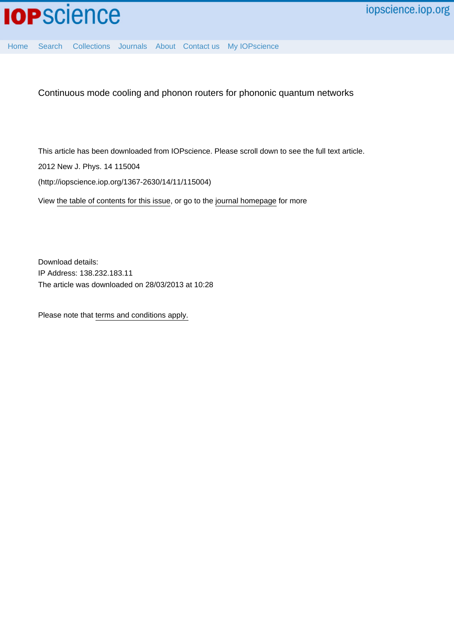

[Home](http://iopscience.iop.org/) [Search](http://iopscience.iop.org/search) [Collections](http://iopscience.iop.org/collections) [Journals](http://iopscience.iop.org/journals) [About](http://iopscience.iop.org/page/aboutioppublishing) [Contact us](http://iopscience.iop.org/contact) [My IOPscience](http://iopscience.iop.org/myiopscience)

Continuous mode cooling and phonon routers for phononic quantum networks

This article has been downloaded from IOPscience. Please scroll down to see the full text article.

2012 New J. Phys. 14 115004

(http://iopscience.iop.org/1367-2630/14/11/115004)

View [the table of contents for this issue](http://iopscience.iop.org/1367-2630/14/11), or go to the [journal homepage](http://iopscience.iop.org/1367-2630) for more

Download details: IP Address: 138.232.183.11 The article was downloaded on 28/03/2013 at 10:28

Please note that [terms and conditions apply.](http://iopscience.iop.org/page/terms)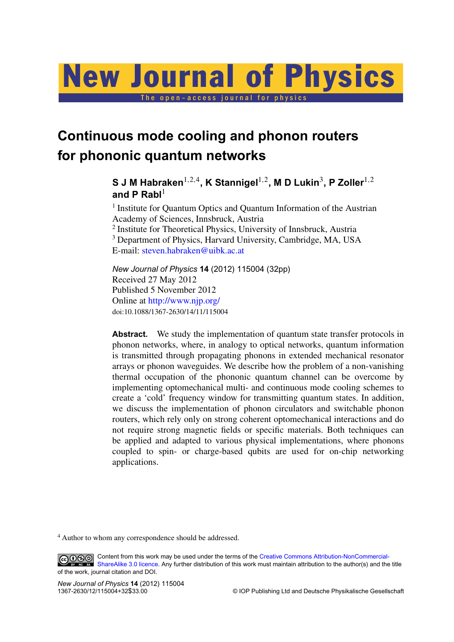# New Journal of Physics

The open-access journal for physics

# **Continuous mode cooling and phonon routers for phononic quantum networks**

 ${\bf S}$  J M Habraken $^{1,2,4}$ , K Stannigel $^{1,2}$ , M D Lukin $^3$ , P Zoller $^{1,2}$ and P Rabl<sup>1</sup>

<sup>1</sup> Institute for Quantum Optics and Quantum Information of the Austrian Academy of Sciences, Innsbruck, Austria <sup>2</sup> Institute for Theoretical Physics, University of Innsbruck, Austria <sup>3</sup> Department of Physics, Harvard University, Cambridge, MA, USA E-mail: [steven.habraken@uibk.ac.at](mailto:steven.habraken@uibk.ac.at)

*New Journal of Physics* **14** (2012) 115004 (32pp) Received 27 May 2012 Published 5 November 2012 Online at <http://www.njp.org/> doi:10.1088/1367-2630/14/11/115004

Abstract. We study the implementation of quantum state transfer protocols in phonon networks, where, in analogy to optical networks, quantum information is transmitted through propagating phonons in extended mechanical resonator arrays or phonon waveguides. We describe how the problem of a non-vanishing thermal occupation of the phononic quantum channel can be overcome by implementing optomechanical multi- and continuous mode cooling schemes to create a 'cold' frequency window for transmitting quantum states. In addition, we discuss the implementation of phonon circulators and switchable phonon routers, which rely only on strong coherent optomechanical interactions and do not require strong magnetic fields or specific materials. Both techniques can be applied and adapted to various physical implementations, where phonons coupled to spin- or charge-based qubits are used for on-chip networking applications.

<sup>4</sup> Author to whom any correspondence should be addressed.

Content from this work may be used under the terms of the [Creative Commons Attribution-NonCommercial-](http://creativecommons.org/licenses/by-nc-sa/3.0) $\bigcirc$  000 [ShareAlike 3.0 licence.](http://creativecommons.org/licenses/by-nc-sa/3.0) Any further distribution of this work must maintain attribution to the author(s) and the title of the work, journal citation and DOI.

*New Journal of Physics* **14** (2012) 115004

 $©$  IOP Publishing Ltd and Deutsche Physikalische Gesellschaft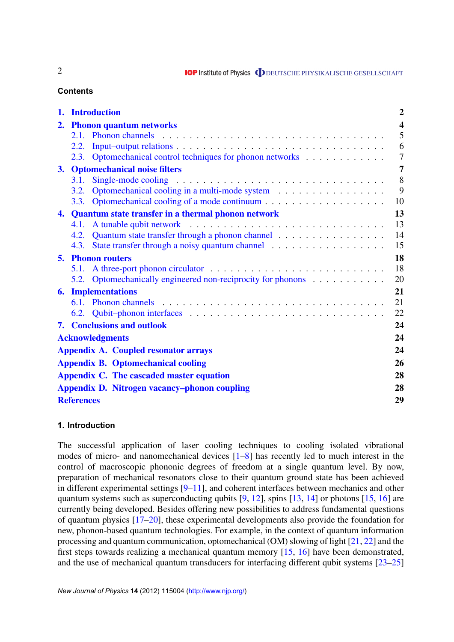**IOP** Institute of Physics **ODEUTSCHE PHYSIKALISCHE GESELLSCHAFT** 

# **Contents**

|                             | 1. Introduction                                     |                                                                                             | $\overline{2}$          |
|-----------------------------|-----------------------------------------------------|---------------------------------------------------------------------------------------------|-------------------------|
|                             | 2. Phonon quantum networks                          |                                                                                             | $\overline{\mathbf{4}}$ |
|                             |                                                     |                                                                                             | 5                       |
|                             | 2.2.                                                |                                                                                             | 6                       |
|                             |                                                     | 2.3. Optomechanical control techniques for phonon networks                                  | $\overline{7}$          |
|                             | $\overline{7}$<br>3. Optomechanical noise filters   |                                                                                             |                         |
|                             | 3.1.                                                | Single-mode cooling $\ldots \ldots \ldots \ldots \ldots \ldots \ldots \ldots \ldots \ldots$ | 8                       |
|                             |                                                     |                                                                                             | 9                       |
|                             |                                                     |                                                                                             | 10                      |
| 4.                          | Quantum state transfer in a thermal phonon network  |                                                                                             | 13                      |
|                             |                                                     |                                                                                             | 13                      |
|                             |                                                     |                                                                                             | 14                      |
|                             |                                                     |                                                                                             | 15                      |
| <b>Phonon routers</b><br>5. |                                                     |                                                                                             | 18                      |
|                             |                                                     |                                                                                             | 18                      |
|                             |                                                     | 5.2. Optomechanically engineered non-reciprocity for phonons                                | 20                      |
| 6.                          | <b>Implementations</b>                              |                                                                                             | 21                      |
|                             |                                                     |                                                                                             | 21                      |
|                             |                                                     |                                                                                             | 22                      |
|                             |                                                     | <b>7. Conclusions and outlook</b>                                                           | 24                      |
|                             | <b>Acknowledgments</b>                              |                                                                                             |                         |
|                             | <b>Appendix A. Coupled resonator arrays</b>         |                                                                                             |                         |
|                             | <b>Appendix B. Optomechanical cooling</b>           |                                                                                             |                         |
|                             | Appendix C. The cascaded master equation            |                                                                                             |                         |
|                             | <b>Appendix D. Nitrogen vacancy-phonon coupling</b> |                                                                                             |                         |
|                             | <b>References</b>                                   |                                                                                             |                         |

# **1. Introduction**

The successful application of laser cooling techniques to cooling isolated vibrational modes of micro- and nanomechanical devices [\[1](#page-29-0)[–8\]](#page-30-0) has recently led to much interest in the control of macroscopic phononic degrees of freedom at a single quantum level. By now, preparation of mechanical resonators close to their quantum ground state has been achieved in different experimental settings [\[9–11\]](#page-30-0), and coherent interfaces between mechanics and other quantum systems such as superconducting qubits  $[9, 12]$  $[9, 12]$  $[9, 12]$ , spins  $[13, 14]$  $[13, 14]$  $[13, 14]$  or photons  $[15, 16]$  $[15, 16]$  $[15, 16]$  are currently being developed. Besides offering new possibilities to address fundamental questions of quantum physics [\[17–20\]](#page-30-0), these experimental developments also provide the foundation for new, phonon-based quantum technologies. For example, in the context of quantum information processing and quantum communication, optomechanical (OM) slowing of light [\[21,](#page-30-0) [22\]](#page-30-0) and the first steps towards realizing a mechanical quantum memory [\[15,](#page-30-0) [16\]](#page-30-0) have been demonstrated, and the use of mechanical quantum transducers for interfacing different qubit systems [\[23–25\]](#page-30-0)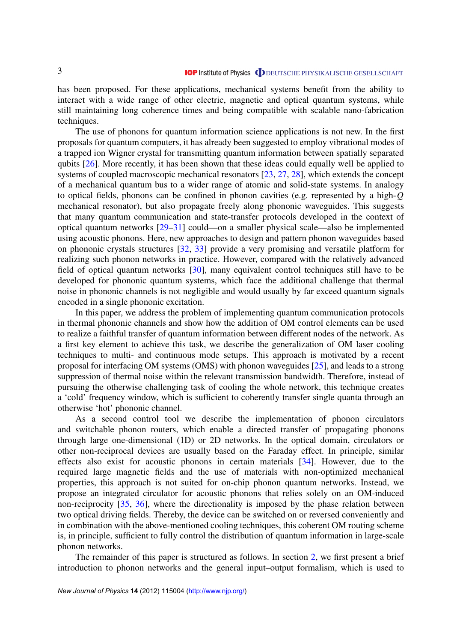has been proposed. For these applications, mechanical systems benefit from the ability to interact with a wide range of other electric, magnetic and optical quantum systems, while still maintaining long coherence times and being compatible with scalable nano-fabrication techniques.

The use of phonons for quantum information science applications is not new. In the first proposals for quantum computers, it has already been suggested to employ vibrational modes of a trapped ion Wigner crystal for transmitting quantum information between spatially separated qubits [\[26\]](#page-30-0). More recently, it has been shown that these ideas could equally well be applied to systems of coupled macroscopic mechanical resonators [\[23,](#page-30-0) [27,](#page-30-0) [28\]](#page-31-0), which extends the concept of a mechanical quantum bus to a wider range of atomic and solid-state systems. In analogy to optical fields, phonons can be confined in phonon cavities (e.g. represented by a high-*Q* mechanical resonator), but also propagate freely along phononic waveguides. This suggests that many quantum communication and state-transfer protocols developed in the context of optical quantum networks [\[29–31\]](#page-31-0) could—on a smaller physical scale—also be implemented using acoustic phonons. Here, new approaches to design and pattern phonon waveguides based on phononic crystals structures [\[32,](#page-31-0) [33\]](#page-31-0) provide a very promising and versatile platform for realizing such phonon networks in practice. However, compared with the relatively advanced field of optical quantum networks [\[30\]](#page-31-0), many equivalent control techniques still have to be developed for phononic quantum systems, which face the additional challenge that thermal noise in phononic channels is not negligible and would usually by far exceed quantum signals encoded in a single phononic excitation.

In this paper, we address the problem of implementing quantum communication protocols in thermal phononic channels and show how the addition of OM control elements can be used to realize a faithful transfer of quantum information between different nodes of the network. As a first key element to achieve this task, we describe the generalization of OM laser cooling techniques to multi- and continuous mode setups. This approach is motivated by a recent proposal for interfacing OM systems (OMS) with phonon waveguides [\[25\]](#page-30-0), and leads to a strong suppression of thermal noise within the relevant transmission bandwidth. Therefore, instead of pursuing the otherwise challenging task of cooling the whole network, this technique creates a 'cold' frequency window, which is sufficient to coherently transfer single quanta through an otherwise 'hot' phononic channel.

As a second control tool we describe the implementation of phonon circulators and switchable phonon routers, which enable a directed transfer of propagating phonons through large one-dimensional (1D) or 2D networks. In the optical domain, circulators or other non-reciprocal devices are usually based on the Faraday effect. In principle, similar effects also exist for acoustic phonons in certain materials [\[34\]](#page-31-0). However, due to the required large magnetic fields and the use of materials with non-optimized mechanical properties, this approach is not suited for on-chip phonon quantum networks. Instead, we propose an integrated circulator for acoustic phonons that relies solely on an OM-induced non-reciprocity [\[35,](#page-31-0) [36\]](#page-31-0), where the directionality is imposed by the phase relation between two optical driving fields. Thereby, the device can be switched on or reversed conveniently and in combination with the above-mentioned cooling techniques, this coherent OM routing scheme is, in principle, sufficient to fully control the distribution of quantum information in large-scale phonon networks.

The remainder of this paper is structured as follows. In section [2,](#page-4-0) we first present a brief introduction to phonon networks and the general input–output formalism, which is used to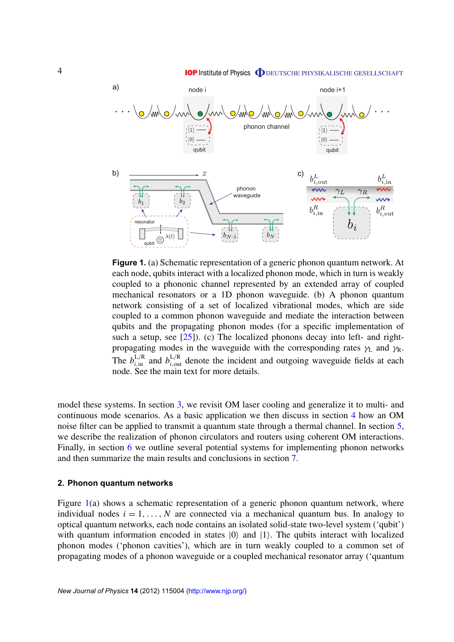<span id="page-4-0"></span>

**Figure 1.** (a) Schematic representation of a generic phonon quantum network. At each node, qubits interact with a localized phonon mode, which in turn is weakly coupled to a phononic channel represented by an extended array of coupled mechanical resonators or a 1D phonon waveguide. (b) A phonon quantum network consisting of a set of localized vibrational modes, which are side coupled to a common phonon waveguide and mediate the interaction between qubits and the propagating phonon modes (for a specific implementation of such a setup, see  $[25]$ ). (c) The localized phonons decay into left- and rightpropagating modes in the waveguide with the corresponding rates  $\gamma_L$  and  $\gamma_R$ . The  $b_{i,in}^{L/R}$  and  $b_{i,out}^{L/R}$  denote the incident and outgoing waveguide fields at each node. See the main text for more details.

model these systems. In section [3,](#page-7-0) we revisit OM laser cooling and generalize it to multi- and continuous mode scenarios. As a basic application we then discuss in section [4](#page-13-0) how an OM noise filter can be applied to transmit a quantum state through a thermal channel. In section [5,](#page-17-0) we describe the realization of phonon circulators and routers using coherent OM interactions. Finally, in section [6](#page-21-0) we outline several potential systems for implementing phonon networks and then summarize the main results and conclusions in section [7.](#page-24-0)

#### **2. Phonon quantum networks**

Figure 1(a) shows a schematic representation of a generic phonon quantum network, where individual nodes  $i = 1, \ldots, N$  are connected via a mechanical quantum bus. In analogy to optical quantum networks, each node contains an isolated solid-state two-level system ('qubit') with quantum information encoded in states  $|0\rangle$  and  $|1\rangle$ . The qubits interact with localized phonon modes ('phonon cavities'), which are in turn weakly coupled to a common set of propagating modes of a phonon waveguide or a coupled mechanical resonator array ('quantum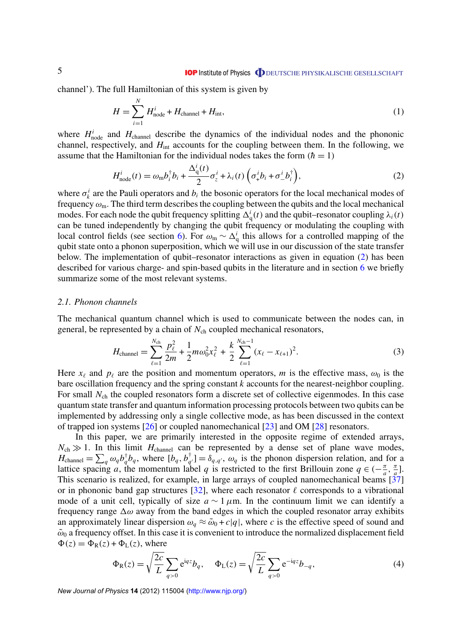<span id="page-5-0"></span>channel'). The full Hamiltonian of this system is given by

$$
H = \sum_{i=1}^{N} H_{\text{node}}^i + H_{\text{channel}} + H_{\text{int}},
$$
\n(1)

where  $H_{\text{node}}^i$  and  $H_{\text{channel}}$  describe the dynamics of the individual nodes and the phononic channel, respectively, and *H*int accounts for the coupling between them. In the following, we assume that the Hamiltonian for the individual nodes takes the form  $(h = 1)$ 

$$
H_{\text{node}}^i(t) = \omega_{\text{m}} b_i^{\dagger} b_i + \frac{\Delta_q^i(t)}{2} \sigma_z^i + \lambda_i(t) \left( \sigma_+^i b_i + \sigma_-^i b_i^{\dagger} \right),\tag{2}
$$

where  $\sigma_k^i$  are the Pauli operators and  $b_i$  the bosonic operators for the local mechanical modes of frequency  $\omega_{\rm m}$ . The third term describes the coupling between the qubits and the local mechanical modes. For each node the qubit frequency splitting  $\Delta_q^i(t)$  and the qubit–resonator coupling  $\lambda_i(t)$ can be tuned independently by changing the qubit frequency or modulating the coupling with local control fields (see section [6\)](#page-21-0). For  $\omega_m \sim \Delta_q^i$  this allows for a controlled mapping of the qubit state onto a phonon superposition, which we will use in our discussion of the state transfer below. The implementation of qubit–resonator interactions as given in equation (2) has been described for various charge- and spin-based qubits in the literature and in section [6](#page-21-0) we briefly summarize some of the most relevant systems.

#### *2.1. Phonon channels*

The mechanical quantum channel which is used to communicate between the nodes can, in general, be represented by a chain of  $N_{ch}$  coupled mechanical resonators,

$$
H_{\text{channel}} = \sum_{\ell=1}^{N_{\text{ch}}} \frac{p_{\ell}^2}{2m} + \frac{1}{2} m \omega_0^2 x_{\ell}^2 + \frac{k}{2} \sum_{\ell=1}^{N_{\text{ch}}-1} (x_{\ell} - x_{\ell+1})^2.
$$
 (3)

Here  $x_\ell$  and  $p_\ell$  are the position and momentum operators, *m* is the effective mass,  $\omega_0$  is the bare oscillation frequency and the spring constant *k* accounts for the nearest-neighbor coupling. For small  $N_{ch}$  the coupled resonators form a discrete set of collective eigenmodes. In this case quantum state transfer and quantum information processing protocols between two qubits can be implemented by addressing only a single collective mode, as has been discussed in the context of trapped ion systems [\[26\]](#page-30-0) or coupled nanomechanical [\[23\]](#page-30-0) and OM [\[28\]](#page-31-0) resonators.

In this paper, we are primarily interested in the opposite regime of extended arrays,  $N_{ch} \gg 1$ . In this limit  $H_{channel}$  can be represented by a dense set of plane wave modes,  $H_{\text{channel}} = \sum_{q} \omega_q b_q^{\dagger} b_q$ , where  $[b_q, b_q^{\dagger}]$  $\phi_{q'}^{\dagger}$ ] =  $\delta_{q,q'}$ ,  $\omega_q$  is the phonon dispersion relation, and for a lattice spacing *a*, the momentum label *q* is restricted to the first Brillouin zone  $q \in (-\frac{\pi}{a})$  $\frac{\pi}{a}$ ,  $\frac{\pi}{a}$  $\frac{\pi}{a}$ ]. This scenario is realized, for example, in large arrays of coupled nanomechanical beams [\[37\]](#page-31-0) or in phononic band gap structures [\[32\]](#page-31-0), where each resonator  $\ell$  corresponds to a vibrational mode of a unit cell, typically of size  $a \sim 1 \mu$ m. In the continuum limit we can identify a frequency range  $\Delta\omega$  away from the band edges in which the coupled resonator array exhibits an approximately linear dispersion  $\omega_a \approx \tilde{\omega}_0 + c|q|$ , where *c* is the effective speed of sound and  $\tilde{\omega}_0$  a frequency offset. In this case it is convenient to introduce the normalized displacement field  $\Phi(z) = \Phi_R(z) + \Phi_L(z)$ , where

$$
\Phi_{R}(z) = \sqrt{\frac{2c}{L}} \sum_{q>0} e^{iqz} b_{q}, \quad \Phi_{L}(z) = \sqrt{\frac{2c}{L}} \sum_{q>0} e^{-iqz} b_{-q}, \tag{4}
$$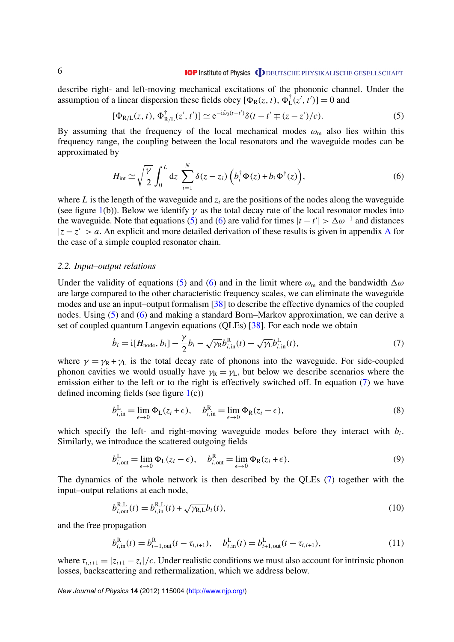#### **IOP** Institute of Physics **ODEUTSCHE PHYSIKALISCHE GESELLSCHAFT**

<span id="page-6-0"></span>describe right- and left-moving mechanical excitations of the phononic channel. Under the assumption of a linear dispersion these fields obey  $[\Phi_R(z, t), \Phi_L^{\dagger}(z', t')] = 0$  and

$$
[\Phi_{R/L}(z, t), \Phi_{R/L}^{\dagger}(z', t')] \simeq e^{-i\tilde{\omega}_0(t - t')} \delta(t - t' \mp (z - z')/c).
$$
 (5)

By assuming that the frequency of the local mechanical modes  $\omega_{\rm m}$  also lies within this frequency range, the coupling between the local resonators and the waveguide modes can be approximated by

$$
H_{\text{int}} \simeq \sqrt{\frac{\gamma}{2}} \int_0^L dz \sum_{i=1}^N \delta(z - z_i) \left( b_i^{\dagger} \Phi(z) + b_i \Phi^{\dagger}(z) \right), \tag{6}
$$

where *L* is the length of the waveguide and  $z_i$  are the positions of the nodes along the waveguide (see figure [1\(](#page-4-0)b)). Below we identify  $\gamma$  as the total decay rate of the local resonator modes into the waveguide. Note that equations (5) and (6) are valid for times  $|t - t'| > \Delta \omega^{-1}$  and distances  $|z - z'| > a$ . [A](#page-24-0)n explicit and more detailed derivation of these results is given in appendix A for the case of a simple coupled resonator chain.

#### *2.2. Input–output relations*

Under the validity of equations (5) and (6) and in the limit where  $\omega_m$  and the bandwidth  $\Delta\omega$ are large compared to the other characteristic frequency scales, we can eliminate the waveguide modes and use an input–output formalism [\[38\]](#page-31-0) to describe the effective dynamics of the coupled nodes. Using (5) and (6) and making a standard Born–Markov approximation, we can derive a set of coupled quantum Langevin equations (QLEs) [\[38\]](#page-31-0). For each node we obtain

$$
\dot{b}_i = \mathbf{i}[H_{\text{node}}, b_i] - \frac{\gamma}{2}b_i - \sqrt{\gamma_R}b_{i,\text{in}}^R(t) - \sqrt{\gamma_L}b_{i,\text{in}}^L(t),\tag{7}
$$

where  $\gamma = \gamma_R + \gamma_L$  is the total decay rate of phonons into the waveguide. For side-coupled phonon cavities we would usually have  $\gamma_R = \gamma_L$ , but below we describe scenarios where the emission either to the left or to the right is effectively switched off. In equation (7) we have defined incoming fields (see figure  $1(c)$  $1(c)$ )

$$
b_{i,in}^{\mathcal{L}} = \lim_{\epsilon \to 0} \Phi_{\mathcal{L}}(z_i + \epsilon), \quad b_{i,in}^{\mathcal{R}} = \lim_{\epsilon \to 0} \Phi_{\mathcal{R}}(z_i - \epsilon), \tag{8}
$$

which specify the left- and right-moving waveguide modes before they interact with  $b_i$ . Similarly, we introduce the scattered outgoing fields

$$
b_{i,\text{out}}^{\text{L}} = \lim_{\epsilon \to 0} \Phi_{\text{L}}(z_i - \epsilon), \quad b_{i,\text{out}}^{\text{R}} = \lim_{\epsilon \to 0} \Phi_{\text{R}}(z_i + \epsilon).
$$
 (9)

The dynamics of the whole network is then described by the QLEs (7) together with the input–output relations at each node,

$$
b_{i,\text{out}}^{\text{R,L}}(t) = b_{i,\text{in}}^{\text{R,L}}(t) + \sqrt{\gamma_{\text{R,L}}}b_i(t),
$$
\n(10)

and the free propagation

$$
b_{i,in}^{R}(t) = b_{i-1,out}^{R}(t - \tau_{i,i+1}), \quad b_{i,in}^{L}(t) = b_{i+1,out}^{L}(t - \tau_{i,i+1}), \tag{11}
$$

where  $\tau_{i,i+1} = |z_{i+1} - z_i|/c$ . Under realistic conditions we must also account for intrinsic phonon losses, backscattering and rethermalization, which we address below.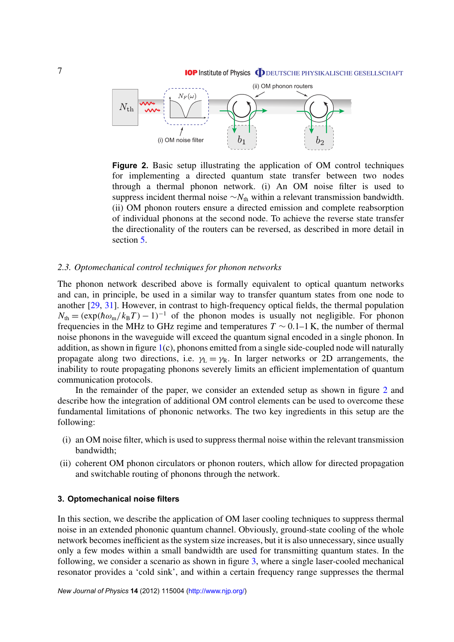<span id="page-7-0"></span>

**Figure 2.** Basic setup illustrating the application of OM control techniques for implementing a directed quantum state transfer between two nodes through a thermal phonon network. (i) An OM noise filter is used to suppress incident thermal noise  $\sim N_{th}$  within a relevant transmission bandwidth. (ii) OM phonon routers ensure a directed emission and complete reabsorption of individual phonons at the second node. To achieve the reverse state transfer the directionality of the routers can be reversed, as described in more detail in section [5.](#page-17-0)

#### *2.3. Optomechanical control techniques for phonon networks*

The phonon network described above is formally equivalent to optical quantum networks and can, in principle, be used in a similar way to transfer quantum states from one node to another [\[29,](#page-31-0) [31\]](#page-31-0). However, in contrast to high-frequency optical fields, the thermal population  $N_{\text{th}} = (\exp(\hbar \omega_{\text{m}}/k_{\text{B}}T) - 1)^{-1}$  of the phonon modes is usually not negligible. For phonon frequencies in the MHz to GHz regime and temperatures  $T \sim 0.1 - 1$  K, the number of thermal noise phonons in the waveguide will exceed the quantum signal encoded in a single phonon. In addition, as shown in figure [1\(](#page-4-0)c), phonons emitted from a single side-coupled node will naturally propagate along two directions, i.e.  $\gamma_L = \gamma_R$ . In larger networks or 2D arrangements, the inability to route propagating phonons severely limits an efficient implementation of quantum communication protocols.

In the remainder of the paper, we consider an extended setup as shown in figure 2 and describe how the integration of additional OM control elements can be used to overcome these fundamental limitations of phononic networks. The two key ingredients in this setup are the following:

- (i) an OM noise filter, which is used to suppress thermal noise within the relevant transmission bandwidth;
- (ii) coherent OM phonon circulators or phonon routers, which allow for directed propagation and switchable routing of phonons through the network.

# **3. Optomechanical noise filters**

In this section, we describe the application of OM laser cooling techniques to suppress thermal noise in an extended phononic quantum channel. Obviously, ground-state cooling of the whole network becomes inefficient as the system size increases, but it is also unnecessary, since usually only a few modes within a small bandwidth are used for transmitting quantum states. In the following, we consider a scenario as shown in figure [3,](#page-8-0) where a single laser-cooled mechanical resonator provides a 'cold sink', and within a certain frequency range suppresses the thermal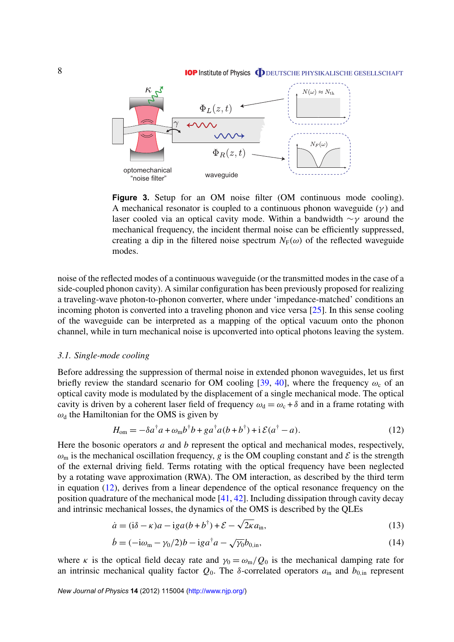#### **IOP** Institute of Physics **ODEUTSCHE PHYSIKALISCHE GESELLSCHAFT**

<span id="page-8-0"></span>

Figure 3. Setup for an OM noise filter (OM continuous mode cooling). A mechanical resonator is coupled to a continuous phonon waveguide  $(\gamma)$  and laser cooled via an optical cavity mode. Within a bandwidth  $\sim \gamma$  around the mechanical frequency, the incident thermal noise can be efficiently suppressed, creating a dip in the filtered noise spectrum  $N_F(\omega)$  of the reflected waveguide modes.

noise of the reflected modes of a continuous waveguide (or the transmitted modes in the case of a side-coupled phonon cavity). A similar configuration has been previously proposed for realizing a traveling-wave photon-to-phonon converter, where under 'impedance-matched' conditions an incoming photon is converted into a traveling phonon and vice versa [\[25\]](#page-30-0). In this sense cooling of the waveguide can be interpreted as a mapping of the optical vacuum onto the phonon channel, while in turn mechanical noise is upconverted into optical photons leaving the system.

# *3.1. Single-mode cooling*

Before addressing the suppression of thermal noise in extended phonon waveguides, let us first briefly review the standard scenario for OM cooling [\[39,](#page-31-0) [40\]](#page-31-0), where the frequency  $\omega_c$  of an optical cavity mode is modulated by the displacement of a single mechanical mode. The optical cavity is driven by a coherent laser field of frequency  $\omega_d = \omega_c + \delta$  and in a frame rotating with  $\omega_d$  the Hamiltonian for the OMS is given by

$$
H_{\text{om}} = -\delta a^{\dagger} a + \omega_{\text{m}} b^{\dagger} b + g a^{\dagger} a (b + b^{\dagger}) + i \mathcal{E} (a^{\dagger} - a). \tag{12}
$$

Here the bosonic operators *a* and *b* represent the optical and mechanical modes, respectively,  $\omega_m$  is the mechanical oscillation frequency, *g* is the OM coupling constant and  $\mathcal E$  is the strength of the external driving field. Terms rotating with the optical frequency have been neglected by a rotating wave approximation (RWA). The OM interaction, as described by the third term in equation (12), derives from a linear dependence of the optical resonance frequency on the position quadrature of the mechanical mode [\[41,](#page-31-0) [42\]](#page-31-0). Including dissipation through cavity decay and intrinsic mechanical losses, the dynamics of the OMS is described by the QLEs

$$
\dot{a} = (\dot{a} - \kappa)a - \dot{a}a(b + b^{\dagger}) + \mathcal{E} - \sqrt{2\kappa}a_{\text{in}},
$$
\n(13)

$$
\dot{b} = (-i\omega_{\rm m} - \gamma_0/2)b - i g a^{\dagger} a - \sqrt{\gamma_0} b_{0,\rm in},\tag{14}
$$

where κ is the optical field decay rate and  $\gamma_0 = \omega_{\rm m}/Q_0$  is the mechanical damping rate for an intrinsic mechanical quality factor  $Q_0$ . The  $\delta$ -correlated operators  $a_{in}$  and  $b_{0,in}$  represent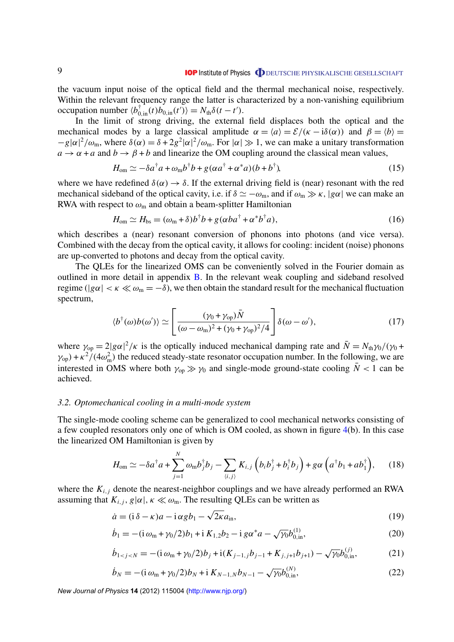<span id="page-9-0"></span>the vacuum input noise of the optical field and the thermal mechanical noise, respectively. Within the relevant frequency range the latter is characterized by a non-vanishing equilibrium occupation number  $\langle b_{0,in}^{\dagger}(t) b_{0,in}(t') \rangle = N_{th} \delta(t - t').$ 

In the limit of strong driving, the external field displaces both the optical and the mechanical modes by a large classical amplitude  $\alpha = \langle a \rangle = \mathcal{E}/(\kappa - i\delta(\alpha))$  and  $\beta = \langle b \rangle =$  $-g|\alpha|^2/\omega_m$ , where  $\delta(\alpha) = \delta + 2g^2|\alpha|^2/\omega_m$ . For  $|\alpha| \gg 1$ , we can make a unitary transformation  $a \rightarrow \alpha + a$  and  $b \rightarrow \beta + b$  and linearize the OM coupling around the classical mean values,

$$
H_{\text{om}} \simeq -\delta a^{\dagger} a + \omega_{\text{m}} b^{\dagger} b + g(\alpha a^{\dagger} + \alpha^* a)(b + b^{\dagger}), \tag{15}
$$

where we have redefined  $\delta(\alpha) \rightarrow \delta$ . If the external driving field is (near) resonant with the red mechanical sideband of the optical cavity, i.e. if  $\delta \simeq -\omega_m$ , and if  $\omega_m \gg \kappa$ ,  $|g\alpha|$  we can make an RWA with respect to  $\omega_{\rm m}$  and obtain a beam-splitter Hamiltonian

$$
H_{\text{om}} \simeq H_{\text{bs}} = (\omega_{\text{m}} + \delta)b^{\dagger}b + g(\alpha ba^{\dagger} + \alpha^* b^{\dagger} a), \qquad (16)
$$

which describes a (near) resonant conversion of phonons into photons (and vice versa). Combined with the decay from the optical cavity, it allows for cooling: incident (noise) phonons are up-converted to photons and decay from the optical cavity.

The QLEs for the linearized OMS can be conveniently solved in the Fourier domain as outlined in more detail in appendix [B.](#page-26-0) In the relevant weak coupling and sideband resolved regime ( $|g\alpha| < \kappa \ll \omega_m = -\delta$ ), we then obtain the standard result for the mechanical fluctuation spectrum,

$$
\langle b^{\dagger}(\omega)b(\omega')\rangle \simeq \left[\frac{(\gamma_0 + \gamma_{\text{op}})\bar{N}}{(\omega - \omega_{\text{m}})^2 + (\gamma_0 + \gamma_{\text{op}})^2/4}\right] \delta(\omega - \omega'),\tag{17}
$$

where  $\gamma_{op} = 2|g\alpha|^2/\kappa$  is the optically induced mechanical damping rate and  $\bar{N} = N_{th}\gamma_0/(\gamma_0 + \gamma_0)$  $\gamma_{\rm op}$ ) +  $\kappa^2/(4\omega_{\rm m}^2)$  the reduced steady-state resonator occupation number. In the following, we are interested in OMS where both  $\gamma_{op} \gg \gamma_0$  and single-mode ground-state cooling  $\bar{N}$  < 1 can be achieved.

#### *3.2. Optomechanical cooling in a multi-mode system*

The single-mode cooling scheme can be generalized to cool mechanical networks consisting of a few coupled resonators only one of which is OM cooled, as shown in figure [4\(](#page-10-0)b). In this case the linearized OM Hamiltonian is given by

$$
H_{\text{om}} \simeq -\delta a^{\dagger} a + \sum_{j=1}^{N} \omega_{\text{m}} b_j^{\dagger} b_j - \sum_{\langle i,j \rangle} K_{i,j} \left( b_i b_j^{\dagger} + b_i^{\dagger} b_j \right) + g \alpha \left( a^{\dagger} b_1 + a b_1^{\dagger} \right), \quad (18)
$$

where the  $K_{i,j}$  denote the nearest-neighbor couplings and we have already performed an RWA assuming that  $K_{i,j}$ ,  $g|\alpha|$ ,  $\kappa \ll \omega_m$ . The resulting QLEs can be written as

$$
\dot{a} = (\mathbf{i}\,\delta - \kappa)a - \mathbf{i}\,\alpha g b_1 - \sqrt{2\kappa}a_{\rm in},\tag{19}
$$

$$
\dot{b}_1 = -(\mathrm{i}\,\omega_m + \gamma_0/2)b_1 + \mathrm{i}\,K_{1,2}b_2 - \mathrm{i}\,g\alpha^*a - \sqrt{\gamma_0}b_{0,\mathrm{in}}^{(1)},\tag{20}
$$

$$
\dot{b}_{1 < j < N} = -(\mathbf{i}\,\omega_{\rm m} + \gamma_0/2)b_j + \mathbf{i}(K_{j-1,j}b_{j-1} + K_{j,j+1}b_{j+1}) - \sqrt{\gamma_0}b_{0,\rm in}^{(j)},\tag{21}
$$

$$
\dot{b}_N = -(\mathrm{i}\,\omega_m + \gamma_0/2)b_N + \mathrm{i}\,K_{N-1,N}b_{N-1} - \sqrt{\gamma_0}b_{0,\mathrm{in}}^{(N)},\tag{22}
$$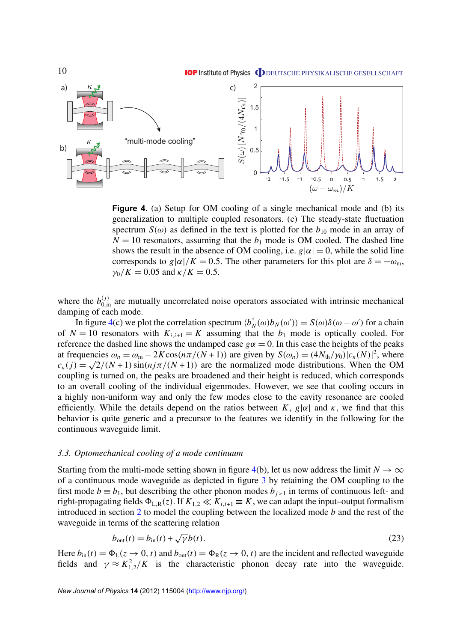<span id="page-10-0"></span>

**Figure 4.** (a) Setup for OM cooling of a single mechanical mode and (b) its generalization to multiple coupled resonators. (c) The steady-state fluctuation spectrum  $S(\omega)$  as defined in the text is plotted for the  $b_{10}$  mode in an array of  $N = 10$  resonators, assuming that the  $b_1$  mode is OM cooled. The dashed line shows the result in the absence of OM cooling, i.e.  $g|\alpha| = 0$ , while the solid line corresponds to  $g|\alpha|/K = 0.5$ . The other parameters for this plot are  $\delta = -\omega_m$ ,  $\gamma_0/K = 0.05$  and  $\kappa/K = 0.5$ .

where the  $b_{0,in}^{(j)}$  are mutually uncorrelated noise operators associated with intrinsic mechanical damping of each mode.

In figure 4(c) we plot the correlation spectrum  $\langle b_n^{\dagger} \rangle$  $\chi^{\dagger}_{N}(\omega)b_{N}(\omega')\rangle = S(\omega)\delta(\omega-\omega')$  for a chain of  $N = 10$  resonators with  $K_{i,i+1} = K$  assuming that the  $b_1$  mode is optically cooled. For reference the dashed line shows the undamped case  $g\alpha = 0$ . In this case the heights of the peaks at frequencies  $\omega_n = \omega_m - 2K\cos(n\pi/(N+1))$  are given by  $S(\omega_n) = (4N_{\text{th}}/\gamma_0)|c_n(N)|^2$ , where  $c_n(j) = \sqrt{2/(N+1)} \sin(nj\pi/(N+1))$  are the normalized mode distributions. When the OM coupling is turned on, the peaks are broadened and their height is reduced, which corresponds to an overall cooling of the individual eigenmodes. However, we see that cooling occurs in a highly non-uniform way and only the few modes close to the cavity resonance are cooled efficiently. While the details depend on the ratios between  $K$ ,  $g|\alpha|$  and  $\kappa$ , we find that this behavior is quite generic and a precursor to the features we identify in the following for the continuous waveguide limit.

#### *3.3. Optomechanical cooling of a mode continuum*

Starting from the multi-mode setting shown in figure 4(b), let us now address the limit  $N \to \infty$ of a continuous mode waveguide as depicted in figure [3](#page-8-0) by retaining the OM coupling to the first mode  $b \equiv b_1$ , but describing the other phonon modes  $b_{i>1}$  in terms of continuous left- and right-propagating fields  $\Phi_{L,R}(z)$ . If  $K_{1,2} \ll K_{i,i+1} \equiv K$ , we can adapt the input–output formalism introduced in section [2](#page-4-0) to model the coupling between the localized mode *b* and the rest of the waveguide in terms of the scattering relation √

$$
b_{\text{out}}(t) = b_{\text{in}}(t) + \sqrt{\gamma}b(t). \tag{23}
$$

Here  $b_{\text{in}}(t) = \Phi_L(z \to 0, t)$  and  $b_{\text{out}}(t) = \Phi_R(z \to 0, t)$  are the incident and reflected waveguide fields and  $\gamma \approx K_{1,2}^2/K$  is the characteristic phonon decay rate into the waveguide.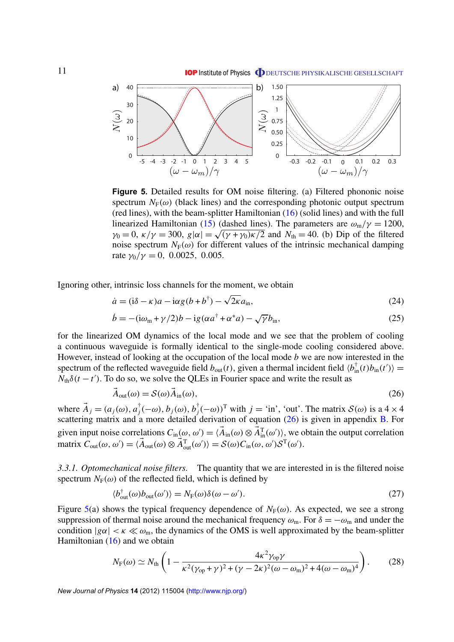<span id="page-11-0"></span>

**Figure 5.** Detailed results for OM noise filtering. (a) Filtered phononic noise spectrum  $N_F(\omega)$  (black lines) and the corresponding photonic output spectrum (red lines), with the beam-splitter Hamiltonian [\(16\)](#page-9-0) (solid lines) and with the full linearized Hamiltonian [\(15\)](#page-9-0) (dashed lines). The parameters are  $\omega_{\rm m}/\gamma = 1200$ , Imearized Hamiltonian (15) (dashed lines). The parameters are  $\omega_{m}/\gamma = 1200$ ,  $\gamma_{0} = 0$ ,  $\kappa/\gamma = 300$ ,  $g|\alpha| = \sqrt{(\gamma + \gamma_{0})\kappa/2}$  and  $N_{th} = 40$ . (b) Dip of the filtered noise spectrum  $N_F(\omega)$  for different values of the intrinsic mechanical damping rate  $\gamma_0/\gamma = 0$ , 0.0025, 0.005.

Ignoring other, intrinsic loss channels for the moment, we obtain

$$
\dot{a} = (\dot{a} - \kappa)a - \dot{a}g(b + b^{\dagger}) - \sqrt{2\kappa}a_{\rm in},\tag{24}
$$

$$
\dot{b} = -(\mathrm{i}\omega_{\mathrm{m}} + \gamma/2)b - \mathrm{i}g(\alpha a^{\dagger} + \alpha^* a) - \sqrt{\gamma}b_{\mathrm{in}},\tag{25}
$$

for the linearized OM dynamics of the local mode and we see that the problem of cooling a continuous waveguide is formally identical to the single-mode cooling considered above. However, instead of looking at the occupation of the local mode *b* we are now interested in the spectrum of the reflected waveguide field  $b_{out}(t)$ , given a thermal incident field  $\langle b_{in}^{\dagger}(t)b_{in}(t')\rangle =$  $N_{\text{th}}\delta(t-t')$ . To do so, we solve the QLEs in Fourier space and write the result as

$$
\vec{A}_{\text{out}}(\omega) = \mathcal{S}(\omega)\vec{A}_{\text{in}}(\omega),\tag{26}
$$

where  $\vec{A}_j = (a_j(\omega), a_j^{\dagger})$  $j^\dagger_j(-\omega),$   $b_j(\omega),$   $b_j^\dagger$  $j^{\dagger}(-\omega)$ <sup>T</sup> with  $j =$  'in', 'out'. The matrix  $\mathcal{S}(\omega)$  is a 4 × 4 scattering matrix and a more detailed derivation of equation  $(26)$  is given in appendix [B.](#page-26-0) For given input noise correlations  $C_{\text{in}}(\omega, \omega') = \langle \vec{A}_{\text{in}}(\omega) \otimes \vec{A}_{\text{in}}^T(\omega') \rangle$ , we obtain the output correlation matrix  $C_{\text{out}}(\omega, \omega') = \langle \vec{A}_{\text{out}}(\omega) \otimes \vec{A}_{\text{out}}^{\text{T}}(\omega') \rangle = \mathcal{S}(\omega) C_{\text{in}}(\omega, \omega') \mathcal{S}^{\text{T}}(\omega').$ 

*3.3.1. Optomechanical noise filters.* The quantity that we are interested in is the filtered noise spectrum  $N_F(\omega)$  of the reflected field, which is defined by

$$
\langle b_{\text{out}}^{\dagger}(\omega)b_{\text{out}}(\omega')\rangle = N_{\text{F}}(\omega)\delta(\omega - \omega'). \tag{27}
$$

Figure 5(a) shows the typical frequency dependence of  $N_F(\omega)$ . As expected, we see a strong suppression of thermal noise around the mechanical frequency  $\omega_m$ . For  $\delta = -\omega_m$  and under the condition  $|g\alpha| < \kappa \ll \omega_m$ , the dynamics of the OMS is well approximated by the beam-splitter Hamiltonian  $(16)$  and we obtain

$$
N_{\rm F}(\omega) \simeq N_{\rm th} \left( 1 - \frac{4\kappa^2 \gamma_{\rm op} \gamma}{\kappa^2 (\gamma_{\rm op} + \gamma)^2 + (\gamma - 2\kappa)^2 (\omega - \omega_{\rm m})^2 + 4(\omega - \omega_{\rm m})^4} \right). \tag{28}
$$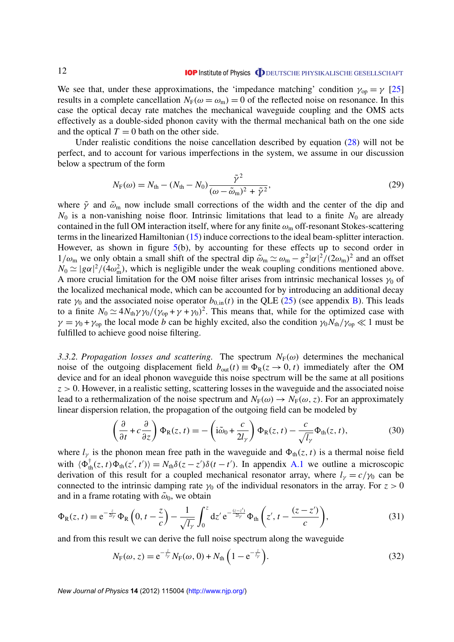<span id="page-12-0"></span>We see that, under these approximations, the 'impedance matching' condition  $\gamma_{op} = \gamma$  [\[25\]](#page-30-0) results in a complete cancellation  $N_F(\omega = \omega_m) = 0$  of the reflected noise on resonance. In this case the optical decay rate matches the mechanical waveguide coupling and the OMS acts effectively as a double-sided phonon cavity with the thermal mechanical bath on the one side and the optical  $T = 0$  bath on the other side.

Under realistic conditions the noise cancellation described by equation [\(28\)](#page-11-0) will not be perfect, and to account for various imperfections in the system, we assume in our discussion below a spectrum of the form

$$
N_{\rm F}(\omega) = N_{\rm th} - (N_{\rm th} - N_0) \frac{\tilde{\gamma}^2}{(\omega - \tilde{\omega}_{\rm m})^2 + \tilde{\gamma}^2},\tag{29}
$$

where  $\tilde{\gamma}$  and  $\tilde{\omega}_m$  now include small corrections of the width and the center of the dip and  $N_0$  is a non-vanishing noise floor. Intrinsic limitations that lead to a finite  $N_0$  are already contained in the full OM interaction itself, where for any finite  $\omega_{\rm m}$  off-resonant Stokes-scattering terms in the linearized Hamiltonian [\(15\)](#page-9-0) induce corrections to the ideal beam-splitter interaction. However, as shown in figure  $5(b)$  $5(b)$ , by accounting for these effects up to second order in  $1/\omega_m$  we only obtain a small shift of the spectral dip  $\tilde{\omega}_m \simeq \omega_m - g^2 |\alpha|^2 / (2\omega_m)^2$  and an offset  $N_0 \simeq |g\alpha|^2/(4\omega_m^2)$ , which is negligible under the weak coupling conditions mentioned above. A more crucial limitation for the OM noise filter arises from intrinsic mechanical losses  $\gamma_0$  of the localized mechanical mode, which can be accounted for by introducing an additional decay rate  $\gamma_0$  and the associated noise operator  $b_{0,in}(t)$  in the QLE [\(25\)](#page-11-0) (see appendix [B\)](#page-26-0). This leads to a finite  $N_0 \simeq 4N_{\text{th}}\gamma\gamma_0/(\gamma_{\text{op}} + \gamma + \gamma_0)^2$ . This means that, while for the optimized case with  $\gamma = \gamma_0 + \gamma_{op}$  the local mode *b* can be highly excited, also the condition  $\gamma_0 N_{th}/\gamma_{op} \ll 1$  must be fulfilled to achieve good noise filtering.

*3.3.2. Propagation losses and scattering.* The spectrum  $N_F(\omega)$  determines the mechanical noise of the outgoing displacement field  $b_{\text{out}}(t) \equiv \Phi_R(z \to 0, t)$  immediately after the OM device and for an ideal phonon waveguide this noise spectrum will be the same at all positions  $z > 0$ . However, in a realistic setting, scattering losses in the waveguide and the associated noise lead to a rethermalization of the noise spectrum and  $N_F(\omega) \to N_F(\omega, z)$ . For an approximately linear dispersion relation, the propagation of the outgoing field can be modeled by

$$
\left(\frac{\partial}{\partial t} + c\frac{\partial}{\partial z}\right)\Phi_{R}(z,t) = -\left(i\tilde{\omega}_{0} + \frac{c}{2l_{\gamma}}\right)\Phi_{R}(z,t) - \frac{c}{\sqrt{l_{\gamma}}}\Phi_{th}(z,t),\tag{30}
$$

where  $l_{\gamma}$  is the phonon mean free path in the waveguide and  $\Phi_{th}(z, t)$  is a thermal noise field with  $\langle \Phi_{\text{th}}^{\dagger}(z, t) \Phi_{\text{th}}(z', t') \rangle = N_{\text{th}} \delta(z - z') \delta(t - t')$ . In appendix [A.1](#page-26-0) we outline a microscopic derivation of this result for a coupled mechanical resonator array, where  $l_{\gamma} = c/\gamma_0$  can be connected to the intrinsic damping rate  $\gamma_0$  of the individual resonators in the array. For  $z > 0$ and in a frame rotating with  $\tilde{\omega}_0$ , we obtain

$$
\Phi_{\mathcal{R}}(z,t) = e^{-\frac{z}{2l_{\gamma}}}\Phi_{\mathcal{R}}\left(0,t-\frac{z}{c}\right) - \frac{1}{\sqrt{l_{\gamma}}} \int_{0}^{z} dz' e^{-\frac{(z-z')}{2l_{\gamma}}} \Phi_{\mathsf{th}}\left(z',t-\frac{(z-z')}{c}\right),\tag{31}
$$

and from this result we can derive the full noise spectrum along the waveguide

$$
N_{\rm F}(\omega, z) = e^{-\frac{z}{l_{\gamma}}} N_{\rm F}(\omega, 0) + N_{\rm th} \left(1 - e^{-\frac{z}{l_{\gamma}}}\right).
$$
 (32)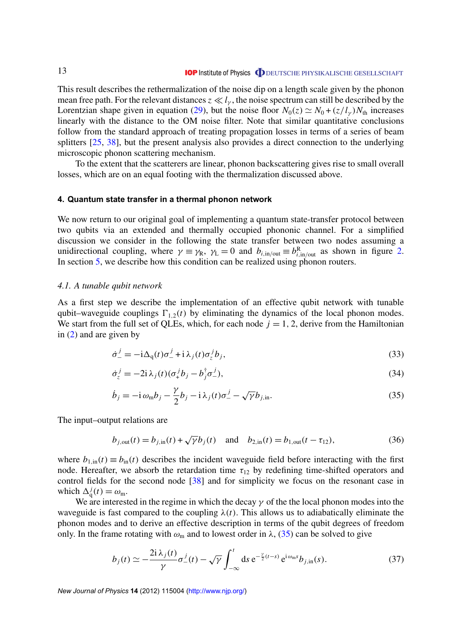<span id="page-13-0"></span>This result describes the rethermalization of the noise dip on a length scale given by the phonon mean free path. For the relevant distances  $z \ll l<sub>v</sub>$ , the noise spectrum can still be described by the Lorentzian shape given in equation [\(29\)](#page-12-0), but the noise floor  $N_0(z) \simeq N_0 + (z/l_\gamma)N_{\text{th}}$  increases linearly with the distance to the OM noise filter. Note that similar quantitative conclusions follow from the standard approach of treating propagation losses in terms of a series of beam splitters [\[25,](#page-30-0) [38\]](#page-31-0), but the present analysis also provides a direct connection to the underlying microscopic phonon scattering mechanism.

To the extent that the scatterers are linear, phonon backscattering gives rise to small overall losses, which are on an equal footing with the thermalization discussed above.

#### **4. Quantum state transfer in a thermal phonon network**

We now return to our original goal of implementing a quantum state-transfer protocol between two qubits via an extended and thermally occupied phononic channel. For a simplified discussion we consider in the following the state transfer between two nodes assuming a unidirectional coupling, where  $\gamma \equiv \gamma_R$ ,  $\gamma_L = 0$  and  $b_{i, \text{in/out}} \equiv b_{i, \text{in/out}}^R$  as shown in figure [2.](#page-7-0) In section [5,](#page-17-0) we describe how this condition can be realized using phonon routers.

#### *4.1. A tunable qubit network*

As a first step we describe the implementation of an effective qubit network with tunable qubit–waveguide couplings  $\Gamma_{1,2}(t)$  by eliminating the dynamics of the local phonon modes. We start from the full set of QLEs, which, for each node  $j = 1, 2$ , derive from the Hamiltonian in [\(2\)](#page-5-0) and are given by

$$
\dot{\sigma}_-^j = -i\Delta_q(t)\sigma_-^j + i\lambda_j(t)\sigma_z^j b_j,\tag{33}
$$

$$
\dot{\sigma}_z^j = -2i\,\lambda_j(t)(\sigma_+^j b_j - b_j^{\dagger} \sigma_-^j),\tag{34}
$$

$$
\dot{b}_j = -\mathrm{i}\,\omega_{\rm m}b_j - \frac{\gamma}{2}b_j - \mathrm{i}\,\lambda_j(t)\sigma_-^j - \sqrt{\gamma}b_{j,\rm in}.\tag{35}
$$

The input–output relations are

$$
b_{j,\text{out}}(t) = b_{j,\text{in}}(t) + \sqrt{\gamma} b_j(t)
$$
 and  $b_{2,\text{in}}(t) = b_{1,\text{out}}(t - \tau_{12}),$  (36)

where  $b_{1,in}(t) \equiv b_{in}(t)$  describes the incident waveguide field before interacting with the first node. Hereafter, we absorb the retardation time  $\tau_{12}$  by redefining time-shifted operators and control fields for the second node [\[38\]](#page-31-0) and for simplicity we focus on the resonant case in which  $\Delta_q^j(t) = \omega_m$ .

We are interested in the regime in which the decay  $\gamma$  of the the local phonon modes into the waveguide is fast compared to the coupling  $\lambda(t)$ . This allows us to adiabatically eliminate the phonon modes and to derive an effective description in terms of the qubit degrees of freedom only. In the frame rotating with  $\omega_m$  and to lowest order in  $\lambda$ , (35) can be solved to give

$$
b_j(t) \simeq -\frac{2i\,\lambda_j(t)}{\gamma} \sigma_-^j(t) - \sqrt{\gamma} \int_{-\infty}^t ds \, e^{-\frac{\gamma}{2}(t-s)} \, e^{i\,\omega_m s} b_{j,\text{in}}(s). \tag{37}
$$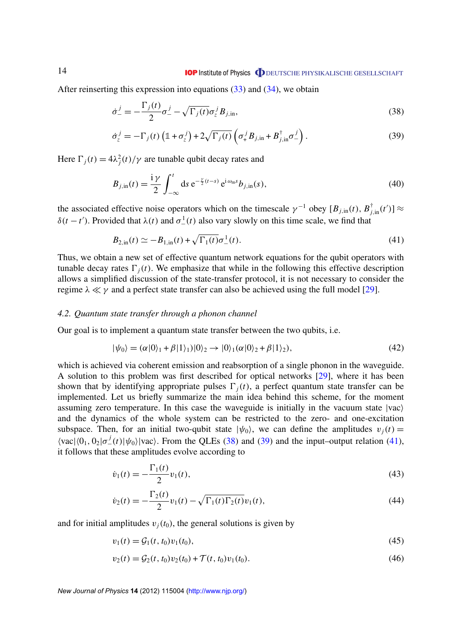<span id="page-14-0"></span>After reinserting this expression into equations  $(33)$  and  $(34)$ , we obtain

$$
\dot{\sigma}_{-}^{j} = -\frac{\Gamma_{j}(t)}{2}\sigma_{-}^{j} - \sqrt{\Gamma_{j}(t)}\sigma_{z}^{j}B_{j,in},
$$
\n(38)

$$
\dot{\sigma}_z^j = -\Gamma_j(t) \left( \mathbb{1} + \sigma_z^j \right) + 2\sqrt{\Gamma_j(t)} \left( \sigma_+^j B_{j, \text{in}} + B_{j, \text{in}}^\dagger \sigma_-^j \right). \tag{39}
$$

Here  $\Gamma_j(t) = 4\lambda_j^2(t)/\gamma$  are tunable qubit decay rates and

$$
B_{j,\text{in}}(t) = \frac{\mathrm{i}\,\gamma}{2} \int_{-\infty}^{t} \mathrm{d}s \,\mathrm{e}^{-\frac{\gamma}{2}(t-s)} \,\mathrm{e}^{\mathrm{i}\,\omega_{\text{m}}s} b_{j,\text{in}}(s),\tag{40}
$$

the associated effective noise operators which on the timescale  $\gamma^{-1}$  obey  $[B_{j,in}(t), B_{j,in}^{\dagger}(t')] \approx$  $δ(t - t')$ . Provided that  $λ(t)$  and  $σ<sup>1</sup>(t)$  also vary slowly on this time scale, we find that

$$
B_{2,\text{in}}(t) \simeq -B_{1,\text{in}}(t) + \sqrt{\Gamma_1(t)} \sigma_-^1(t). \tag{41}
$$

Thus, we obtain a new set of effective quantum network equations for the qubit operators with tunable decay rates  $\Gamma_i(t)$ . We emphasize that while in the following this effective description allows a simplified discussion of the state-transfer protocol, it is not necessary to consider the regime  $\lambda \ll \gamma$  and a perfect state transfer can also be achieved using the full model [\[29\]](#page-31-0).

#### *4.2. Quantum state transfer through a phonon channel*

Our goal is to implement a quantum state transfer between the two qubits, i.e.

$$
|\psi_0\rangle = (\alpha|0\rangle_1 + \beta|1\rangle_1)|0\rangle_2 \rightarrow |0\rangle_1(\alpha|0\rangle_2 + \beta|1\rangle_2),
$$
\n(42)

which is achieved via coherent emission and reabsorption of a single phonon in the waveguide. A solution to this problem was first described for optical networks [\[29\]](#page-31-0), where it has been shown that by identifying appropriate pulses  $\Gamma_i(t)$ , a perfect quantum state transfer can be implemented. Let us briefly summarize the main idea behind this scheme, for the moment assuming zero temperature. In this case the waveguide is initially in the vacuum state  $|vac\rangle$ and the dynamics of the whole system can be restricted to the zero- and one-excitation subspace. Then, for an initial two-qubit state  $|\psi_0\rangle$ , we can define the amplitudes  $v_j(t)$  =  $\langle \text{vac}| \langle 0_1, 0_2 | \sigma_-^j(t) | \psi_0 \rangle | \text{vac} \rangle$ . From the QLEs (38) and (39) and the input–output relation (41), it follows that these amplitudes evolve according to

$$
\dot{v}_1(t) = -\frac{\Gamma_1(t)}{2} v_1(t),\tag{43}
$$

$$
\dot{v}_2(t) = -\frac{\Gamma_2(t)}{2}v_1(t) - \sqrt{\Gamma_1(t)\Gamma_2(t)}v_1(t),\tag{44}
$$

and for initial amplitudes  $v_i(t_0)$ , the general solutions is given by

$$
v_1(t) = \mathcal{G}_1(t, t_0)v_1(t_0),\tag{45}
$$

$$
v_2(t) = \mathcal{G}_2(t, t_0)v_2(t_0) + \mathcal{T}(t, t_0)v_1(t_0).
$$
\n(46)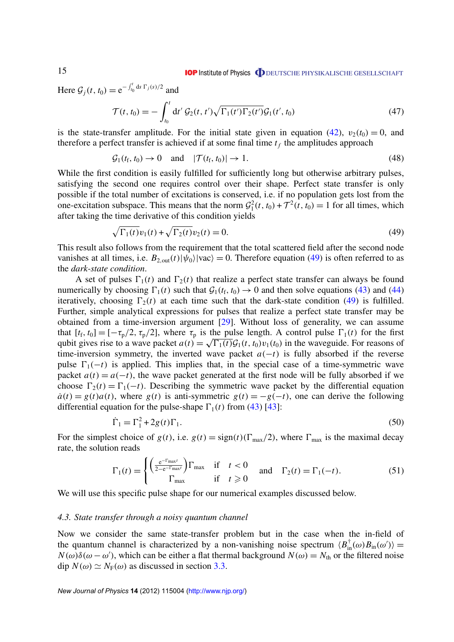**IOP** Institute of Physics **ODEUTSCHE PHYSIKALISCHE GESELLSCHAFT** 

<span id="page-15-0"></span>Here  $G_j(t, t_0) = e^{-\int_{t_0}^t ds \Gamma_j(s)/2}$  and

$$
\mathcal{T}(t, t_0) = -\int_{t_0}^t dt' \mathcal{G}_2(t, t') \sqrt{\Gamma_1(t') \Gamma_2(t')} \mathcal{G}_1(t', t_0)
$$
\n(47)

is the state-transfer amplitude. For the initial state given in equation [\(42\)](#page-14-0),  $v_2(t_0) = 0$ , and therefore a perfect transfer is achieved if at some final time  $t_f$  the amplitudes approach

$$
\mathcal{G}_1(t_{\rm f},t_0)\to 0 \quad \text{and} \quad |\mathcal{T}(t_{\rm f},t_0)|\to 1. \tag{48}
$$

While the first condition is easily fulfilled for sufficiently long but otherwise arbitrary pulses, satisfying the second one requires control over their shape. Perfect state transfer is only possible if the total number of excitations is conserved, i.e. if no population gets lost from the one-excitation subspace. This means that the norm  $G_1^2(t, t_0) + \mathcal{T}^2(t, t_0) = 1$  for all times, which after taking the time derivative of this condition yields

$$
\sqrt{\Gamma_1(t)}v_1(t) + \sqrt{\Gamma_2(t)}v_2(t) = 0.
$$
\n(49)

This result also follows from the requirement that the total scattered field after the second node vanishes at all times, i.e.  $B_{2,\text{out}}(t)|\psi_0\rangle|\text{vac}\rangle = 0$ . Therefore equation (49) is often referred to as the *dark-state condition*.

A set of pulses  $\Gamma_1(t)$  and  $\Gamma_2(t)$  that realize a perfect state transfer can always be found numerically by choosing  $\Gamma_1(t)$  such that  $\mathcal{G}_1(t_f, t_0) \to 0$  and then solve equations [\(43\)](#page-14-0) and [\(44\)](#page-14-0) iteratively, choosing  $\Gamma_2(t)$  at each time such that the dark-state condition (49) is fulfilled. Further, simple analytical expressions for pulses that realize a perfect state transfer may be obtained from a time-inversion argument [\[29\]](#page-31-0). Without loss of generality, we can assume that  $[t_f, t_0] = [-\tau_p/2, \tau_p/2]$ , where  $\tau_p$  is the pulse length. A control pulse  $\Gamma_1(t)$  for the first qubit gives rise to a wave packet  $a(t) = \sqrt{\Gamma_1(t)}\mathcal{G}_1(t, t_0)v_1(t_0)$  in the waveguide. For reasons of time-inversion symmetry, the inverted wave packet  $a(-t)$  is fully absorbed if the reverse pulse  $\Gamma_1(-t)$  is applied. This implies that, in the special case of a time-symmetric wave packet  $a(t) = a(-t)$ , the wave packet generated at the first node will be fully absorbed if we choose  $\Gamma_2(t) = \Gamma_1(-t)$ . Describing the symmetric wave packet by the differential equation  $\dot{a}(t) = g(t)a(t)$ , where  $g(t)$  is anti-symmetric  $g(t) = -g(-t)$ , one can derive the following differential equation for the pulse-shape  $\Gamma_1(t)$  from [\(43\)](#page-14-0) [\[43\]](#page-31-0):

$$
\dot{\Gamma}_1 = \Gamma_1^2 + 2g(t)\Gamma_1. \tag{50}
$$

For the simplest choice of  $g(t)$ , i.e.  $g(t) = sign(t)(\Gamma_{\text{max}}/2)$ , where  $\Gamma_{\text{max}}$  is the maximal decay rate, the solution reads

$$
\Gamma_1(t) = \begin{cases} \left(\frac{e^{-\Gamma_{\text{max}}t}}{2 - e^{-\Gamma_{\text{max}}t}}\right) \Gamma_{\text{max}} & \text{if } t < 0\\ \Gamma_{\text{max}} & \text{if } t \ge 0 \end{cases} \text{ and } \Gamma_2(t) = \Gamma_1(-t). \tag{51}
$$

We will use this specific pulse shape for our numerical examples discussed below.

#### *4.3. State transfer through a noisy quantum channel*

Now we consider the same state-transfer problem but in the case when the in-field of the quantum channel is characterized by a non-vanishing noise spectrum  $\langle B_{\text{in}}^{\dagger}(\omega)B_{\text{in}}(\omega')\rangle =$  $N(\omega)\delta(\omega - \omega')$ , which can be either a flat thermal background  $N(\omega) = N_{\text{th}}$  or the filtered noise dip  $N(\omega) \simeq N_F(\omega)$  as discussed in section [3.3.](#page-10-0)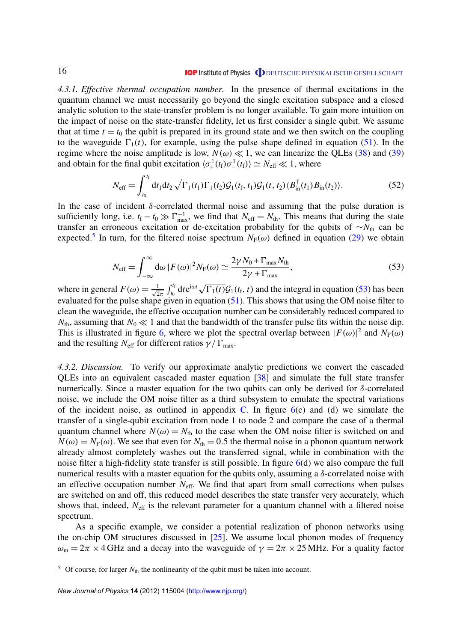#### **IOP** Institute of Physics **ODEUTSCHE PHYSIKALISCHE GESELLSCHAFT**

<span id="page-16-0"></span>*4.3.1. Effective thermal occupation number.* In the presence of thermal excitations in the quantum channel we must necessarily go beyond the single excitation subspace and a closed analytic solution to the state-transfer problem is no longer available. To gain more intuition on the impact of noise on the state-transfer fidelity, let us first consider a single qubit. We assume that at time  $t = t_0$  the qubit is prepared in its ground state and we then switch on the coupling to the waveguide  $\Gamma_1(t)$ , for example, using the pulse shape defined in equation [\(51\)](#page-15-0). In the regime where the noise amplitude is low,  $N(\omega) \ll 1$ , we can linearize the QLEs [\(38\)](#page-14-0) and [\(39\)](#page-14-0) and obtain for the final qubit excitation  $\langle \sigma_+^1(t_f) \sigma_-^1(t_f) \rangle \simeq N_{\text{eff}} \ll 1$ , where

$$
N_{\text{eff}} = \int_{t_0}^{t_f} dt_1 dt_2 \sqrt{\Gamma_1(t_1)\Gamma_1(t_2)} \mathcal{G}_1(t_f, t_1) \mathcal{G}_1(t, t_2) \langle B_{\text{in}}^{\dagger}(t_1) B_{\text{in}}(t_2) \rangle.
$$
 (52)

In the case of incident  $\delta$ -correlated thermal noise and assuming that the pulse duration is sufficiently long, i.e.  $t_f - t_0 \gg \Gamma_{\text{max}}^{-1}$ , we find that  $N_{\text{eff}} = N_{\text{th}}$ . This means that during the state transfer an erroneous excitation or de-excitation probability for the qubits of ∼*N*<sub>th</sub> can be expected.<sup>5</sup> In turn, for the filtered noise spectrum  $N_F(\omega)$  defined in equation [\(29\)](#page-12-0) we obtain

$$
N_{\text{eff}} = \int_{-\infty}^{\infty} d\omega \, |F(\omega)|^2 N_{\text{F}}(\omega) \simeq \frac{2\gamma N_0 + \Gamma_{\text{max}} N_{\text{th}}}{2\gamma + \Gamma_{\text{max}}},\tag{53}
$$

where in general  $F(\omega) = \frac{1}{\sqrt{2}}$  $\frac{1}{2\pi} \int_{t_0}^{t_f} dt e^{i\omega t} \sqrt{\Gamma_1(t)} \mathcal{G}_1(t_f, t)$  and the integral in equation (53) has been evaluated for the pulse shape given in equation  $(51)$ . This shows that using the OM noise filter to clean the waveguide, the effective occupation number can be considerably reduced compared to  $N_{\text{th}}$ , assuming that  $N_0 \ll 1$  and that the bandwidth of the transfer pulse fits within the noise dip. This is illustrated in figure [6,](#page-17-0) where we plot the spectral overlap between  $|F(\omega)|^2$  and  $N_F(\omega)$ and the resulting  $N_{\text{eff}}$  for different ratios  $\gamma/\Gamma_{\text{max}}$ .

*4.3.2. Discussion.* To verify our approximate analytic predictions we convert the cascaded QLEs into an equivalent cascaded master equation [\[38\]](#page-31-0) and simulate the full state transfer numerically. Since a master equation for the two qubits can only be derived for  $\delta$ -correlated noise, we include the OM noise filter as a third subsystem to emulate the spectral variations of the incident noise, as outlined in appendix [C.](#page-27-0) In figure  $6(c)$  $6(c)$  and (d) we simulate the transfer of a single-qubit excitation from node 1 to node 2 and compare the case of a thermal quantum channel where  $N(\omega) = N_{\text{th}}$  to the case when the OM noise filter is switched on and  $N(\omega) = N_F(\omega)$ . We see that even for  $N_{th} = 0.5$  the thermal noise in a phonon quantum network already almost completely washes out the transferred signal, while in combination with the noise filter a high-fidelity state transfer is still possible. In figure [6\(](#page-17-0)d) we also compare the full numerical results with a master equation for the qubits only, assuming a  $\delta$ -correlated noise with an effective occupation number  $N_{\text{eff}}$ . We find that apart from small corrections when pulses are switched on and off, this reduced model describes the state transfer very accurately, which shows that, indeed,  $N_{\text{eff}}$  is the relevant parameter for a quantum channel with a filtered noise spectrum.

As a specific example, we consider a potential realization of phonon networks using the on-chip OM structures discussed in  $[25]$ . We assume local phonon modes of frequency  $\omega_m = 2\pi \times 4$  GHz and a decay into the waveguide of  $\gamma = 2\pi \times 25$  MHz. For a quality factor

 $5$  Of course, for larger  $N_{\text{th}}$  the nonlinearity of the qubit must be taken into account.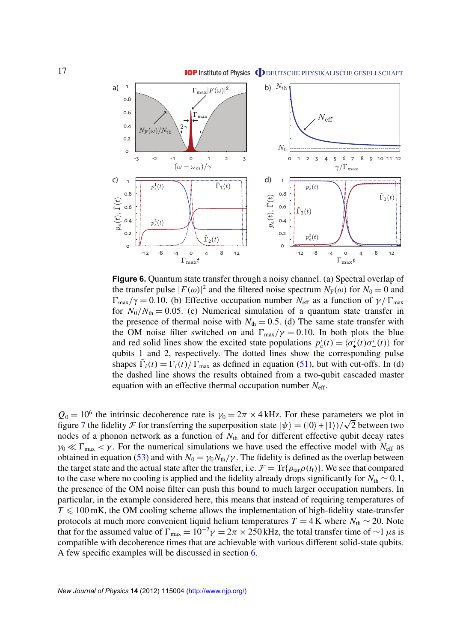<span id="page-17-0"></span>

**Figure 6.** Quantum state transfer through a noisy channel. (a) Spectral overlap of the transfer pulse  $|F(\omega)|^2$  and the filtered noise spectrum  $N_F(\omega)$  for  $N_0 = 0$  and  $\Gamma_{\text{max}}/\gamma = 0.10$ . (b) Effective occupation number *N*<sub>eff</sub> as a function of  $\gamma/\Gamma_{\text{max}}$ for  $N_0/N_{th} = 0.05$ . (c) Numerical simulation of a quantum state transfer in the presence of thermal noise with  $N_{\text{th}} = 0.5$ . (d) The same state transfer with the OM noise filter switched on and  $\Gamma_{\text{max}}/\gamma = 0.10$ . In both plots the blue and red solid lines show the excited state populations  $p_e^i(t) = \langle \sigma_+^i(t) \sigma_-^i(t) \rangle$  for qubits 1 and 2, respectively. The dotted lines show the corresponding pulse shapes  $\tilde{\Gamma}_i(t) = \Gamma_i(t)/\Gamma_{\text{max}}$  as defined in equation [\(51\)](#page-15-0), but with cut-offs. In (d) the dashed line shows the results obtained from a two-qubit cascaded master equation with an effective thermal occupation number *N*eff.

 $Q_0 = 10^6$  the intrinsic decoherence rate is  $\gamma_0 = 2\pi \times 4$  kHz. For these parameters we plot in  $Q_0 = 10^6$  the intrinsic decoherence rate is  $\gamma_0 = 2\pi \times 4$  kHz. For these parameters we plot in figure [7](#page-18-0) the fidelity  $\mathcal F$  for transferring the superposition state  $|\psi\rangle = (0\rangle + |1\rangle)/\sqrt{2}$  between two nodes of a phonon network as a function of  $N_{th}$  and for different effective qubit decay rates  $\gamma_0 \ll \Gamma_{\text{max}} < \gamma$ . For the numerical simulations we have used the effective model with  $N_{\text{eff}}$  as obtained in equation [\(53\)](#page-16-0) and with  $N_0 = \gamma_0 N_{\text{th}}/\gamma$ . The fidelity is defined as the overlap between the target state and the actual state after the transfer, i.e.  $\mathcal{F} = \text{Tr}\{\rho_{\text{tar}}\rho(t_f)\}\.$  We see that compared to the case where no cooling is applied and the fidelity already drops significantly for  $N_{\text{th}} \sim 0.1$ , the presence of the OM noise filter can push this bound to much larger occupation numbers. In particular, in the example considered here, this means that instead of requiring temperatures of  $T \leq 100$  mK, the OM cooling scheme allows the implementation of high-fidelity state-transfer protocols at much more convenient liquid helium temperatures  $T = 4$  K where  $N_{\text{th}} \sim 20$ . Note that for the assumed value of  $\Gamma_{\text{max}} = 10^{-2}\gamma = 2\pi \times 250$  kHz, the total transfer time of ~1  $\mu$ s is compatible with decoherence times that are achievable with various different solid-state qubits. A few specific examples will be discussed in section [6.](#page-21-0)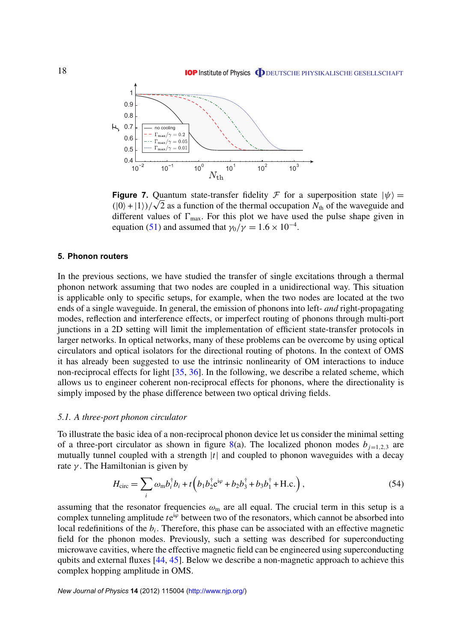<span id="page-18-0"></span>

**Figure 7.** Quantum state-transfer fidelity  $\mathcal F$  for a superposition state  $|\psi\rangle =$ **Figure 7.** Quantum state-transfer fidelity  $\mathcal F$  for a superposition state  $|\psi\rangle = (0) + (1)$ )/ $\sqrt{2}$  as a function of the thermal occupation  $N_{\text{th}}$  of the waveguide and different values of  $\Gamma_{\text{max}}$ . For this plot we have used the pulse shape given in equation [\(51\)](#page-15-0) and assumed that  $\gamma_0/\gamma = 1.6 \times 10^{-4}$ .

#### **5. Phonon routers**

In the previous sections, we have studied the transfer of single excitations through a thermal phonon network assuming that two nodes are coupled in a unidirectional way. This situation is applicable only to specific setups, for example, when the two nodes are located at the two ends of a single waveguide. In general, the emission of phonons into left- *and* right-propagating modes, reflection and interference effects, or imperfect routing of phonons through multi-port junctions in a 2D setting will limit the implementation of efficient state-transfer protocols in larger networks. In optical networks, many of these problems can be overcome by using optical circulators and optical isolators for the directional routing of photons. In the context of OMS it has already been suggested to use the intrinsic nonlinearity of OM interactions to induce non-reciprocal effects for light [\[35,](#page-31-0) [36\]](#page-31-0). In the following, we describe a related scheme, which allows us to engineer coherent non-reciprocal effects for phonons, where the directionality is simply imposed by the phase difference between two optical driving fields.

#### *5.1. A three-port phonon circulator*

To illustrate the basic idea of a non-reciprocal phonon device let us consider the minimal setting of a three-port circulator as shown in figure [8\(](#page-19-0)a). The localized phonon modes  $b_{j=1,2,3}$  are mutually tunnel coupled with a strength |*t*| and coupled to phonon waveguides with a decay rate  $\gamma$ . The Hamiltonian is given by

$$
H_{\rm circ} = \sum_{i} \omega_{\rm m} b_{i}^{\dagger} b_{i} + t \left( b_{1} b_{2}^{\dagger} e^{i\varphi} + b_{2} b_{3}^{\dagger} + b_{3} b_{1}^{\dagger} + \text{H.c.} \right), \tag{54}
$$

assuming that the resonator frequencies  $\omega_m$  are all equal. The crucial term in this setup is a complex tunneling amplitude *t* e<sup>i $\varphi$ </sup> between two of the resonators, which cannot be absorbed into local redefinitions of the  $b_i$ . Therefore, this phase can be associated with an effective magnetic field for the phonon modes. Previously, such a setting was described for superconducting microwave cavities, where the effective magnetic field can be engineered using superconducting qubits and external fluxes [\[44,](#page-31-0) [45\]](#page-31-0). Below we describe a non-magnetic approach to achieve this complex hopping amplitude in OMS.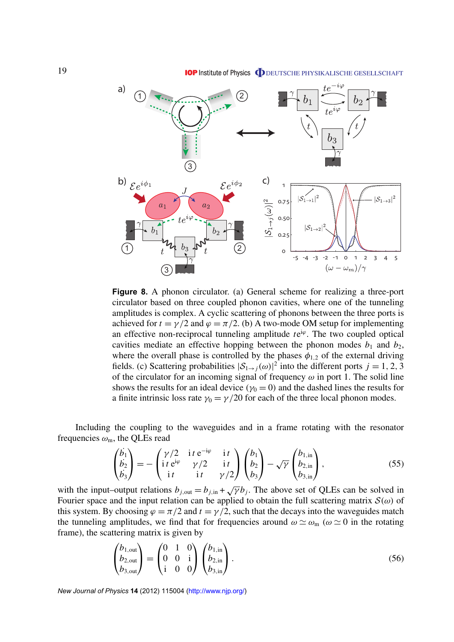**IOP** Institute of Physics **ODEUTSCHE PHYSIKALISCHE GESELLSCHAFT** 

<span id="page-19-0"></span>

**Figure 8.** A phonon circulator. (a) General scheme for realizing a three-port circulator based on three coupled phonon cavities, where one of the tunneling amplitudes is complex. A cyclic scattering of phonons between the three ports is achieved for  $t = \gamma/2$  and  $\varphi = \pi/2$ . (b) A two-mode OM setup for implementing an effective non-reciprocal tunneling amplitude  $te^{i\varphi}$ . The two coupled optical cavities mediate an effective hopping between the phonon modes  $b_1$  and  $b_2$ , where the overall phase is controlled by the phases  $\phi_{1,2}$  of the external driving fields. (c) Scattering probabilities  $|S_{1\rightarrow j}(\omega)|^2$  into the different ports  $j = 1, 2, 3$ of the circulator for an incoming signal of frequency  $\omega$  in port 1. The solid line shows the results for an ideal device ( $\gamma_0 = 0$ ) and the dashed lines the results for a finite intrinsic loss rate  $\gamma_0 = \gamma/20$  for each of the three local phonon modes.

Including the coupling to the waveguides and in a frame rotating with the resonator frequencies  $\omega_{\rm m}$ , the QLEs read

$$
\begin{pmatrix}\n\dot{b}_1 \\
\dot{b}_2 \\
\dot{b}_3\n\end{pmatrix} = -\begin{pmatrix}\n\gamma/2 & \text{i } t \ e^{-i\varphi} & \text{i } t \\
\text{i } t \ e^{i\varphi} & \gamma/2 & \text{i } t \\
\text{i } t & \text{i } t & \gamma/2\n\end{pmatrix}\n\begin{pmatrix}\nb_1 \\
b_2 \\
b_3\n\end{pmatrix} - \sqrt{\gamma}\begin{pmatrix}\nb_{1,\text{in}} \\
b_{2,\text{in}} \\
b_{3,\text{in}}\n\end{pmatrix},
$$
\n(55)

with the input–output relations  $b_{j,out} = b_{j,in} + \sqrt{\gamma} b_j$ . The above set of QLEs can be solved in Fourier space and the input relation can be applied to obtain the full scattering matrix  $\mathcal{S}(\omega)$  of this system. By choosing  $\varphi = \pi/2$  and  $t = \gamma/2$ , such that the decays into the waveguides match the tunneling amplitudes, we find that for frequencies around  $\omega \simeq \omega_m$  ( $\omega \simeq 0$  in the rotating frame), the scattering matrix is given by

$$
\begin{pmatrix} b_{1,\text{out}} \\ b_{2,\text{out}} \\ b_{3,\text{out}} \end{pmatrix} = \begin{pmatrix} 0 & 1 & 0 \\ 0 & 0 & \mathrm{i} \\ \mathrm{i} & 0 & 0 \end{pmatrix} \begin{pmatrix} b_{1,\text{in}} \\ b_{2,\text{in}} \\ b_{3,\text{in}} \end{pmatrix} . \tag{56}
$$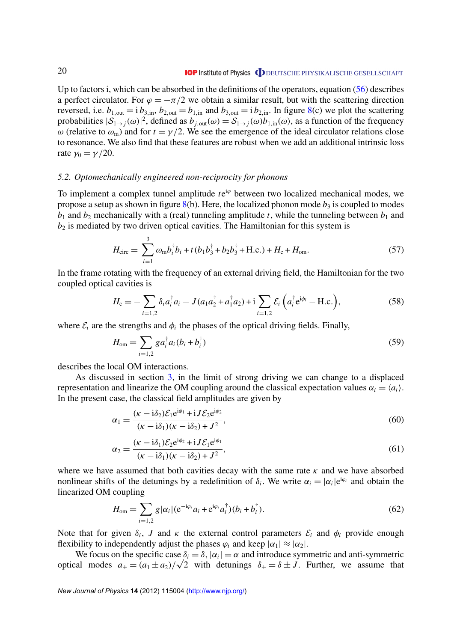<span id="page-20-0"></span>Up to factors i, which can be absorbed in the definitions of the operators, equation [\(56\)](#page-19-0) describes a perfect circulator. For  $\varphi = -\pi/2$  we obtain a similar result, but with the scattering direction reversed, i.e.  $b_{1,\text{out}} = i b_{3,\text{in}}$ ,  $b_{2,\text{out}} = b_{1,\text{in}}$  and  $b_{3,\text{out}} = i b_{2,\text{in}}$ . In figure [8\(](#page-19-0)c) we plot the scattering probabilities  $|S_{1\to j}(\omega)|^2$ , defined as  $b_{j,\text{out}}(\omega) = S_{1\to j}(\omega)b_{1,\text{in}}(\omega)$ , as a function of the frequency ω (relative to  $ω_m$ ) and for  $t = \gamma/2$ . We see the emergence of the ideal circulator relations close to resonance. We also find that these features are robust when we add an additional intrinsic loss rate  $\gamma_0 = \gamma/20$ .

#### *5.2. Optomechanically engineered non-reciprocity for phonons*

To implement a complex tunnel amplitude  $te^{i\varphi}$  between two localized mechanical modes, we propose a setup as shown in figure  $8(b)$  $8(b)$ . Here, the localized phonon mode  $b_3$  is coupled to modes  $b_1$  and  $b_2$  mechanically with a (real) tunneling amplitude *t*, while the tunneling between  $b_1$  and  $b_2$  is mediated by two driven optical cavities. The Hamiltonian for this system is

$$
H_{\rm circ} = \sum_{i=1}^{3} \omega_{\rm m} b_i^{\dagger} b_i + t (b_1 b_3^{\dagger} + b_2 b_3^{\dagger} + \text{H.c.}) + H_{\rm c} + H_{\rm om}.
$$
 (57)

In the frame rotating with the frequency of an external driving field, the Hamiltonian for the two coupled optical cavities is

$$
H_{\rm c} = -\sum_{i=1,2} \delta_i a_i^{\dagger} a_i - J(a_1 a_2^{\dagger} + a_1^{\dagger} a_2) + i \sum_{i=1,2} \mathcal{E}_i \left( a_i^{\dagger} e^{i \phi_i} - \text{H.c.} \right), \tag{58}
$$

where  $\mathcal{E}_i$  are the strengths and  $\phi_i$  the phases of the optical driving fields. Finally,

$$
H_{\text{om}} = \sum_{i=1,2} g a_i^{\dagger} a_i (b_i + b_i^{\dagger})
$$
 (59)

describes the local OM interactions.

As discussed in section [3,](#page-7-0) in the limit of strong driving we can change to a displaced representation and linearize the OM coupling around the classical expectation values  $\alpha_i = \langle a_i \rangle$ . In the present case, the classical field amplitudes are given by

$$
\alpha_1 = \frac{(\kappa - i\delta_2)\mathcal{E}_1 e^{i\phi_1} + iJ\mathcal{E}_2 e^{i\phi_2}}{(\kappa - i\delta_1)(\kappa - i\delta_2) + J^2},\tag{60}
$$

$$
\alpha_2 = \frac{(\kappa - i\delta_1)\mathcal{E}_2 e^{i\phi_2} + iJ\mathcal{E}_1 e^{i\phi_1}}{(\kappa - i\delta_1)(\kappa - i\delta_2) + J^2},\tag{61}
$$

where we have assumed that both cavities decay with the same rate  $\kappa$  and we have absorbed nonlinear shifts of the detunings by a redefinition of  $\delta_i$ . We write  $\alpha_i = |\alpha_i|e^{i\varphi_i}$  and obtain the linearized OM coupling

$$
H_{\text{om}} = \sum_{i=1,2} g |\alpha_i| (e^{-i\varphi_i} a_i + e^{i\varphi_i} a_i^{\dagger}) (b_i + b_i^{\dagger}).
$$
 (62)

Note that for given  $\delta_i$ , *J* and  $\kappa$  the external control parameters  $\mathcal{E}_i$  and  $\phi_i$  provide enough flexibility to independently adjust the phases  $\varphi_i$  and keep  $|\alpha_1| \approx |\alpha_2|$ .

We focus on the specific case  $\delta_i = \delta$ ,  $|\alpha_i| = \alpha$  and introduce symmetric and anti-symmetric We focus on the specific case  $\delta_i = \delta$ ,  $|\alpha_i| = \alpha$  and introduce symmetric and anti-symmetric optical modes  $a_{\pm} = (a_1 \pm a_2)/\sqrt{2}$  with detunings  $\delta_{\pm} = \delta \pm J$ . Further, we assume that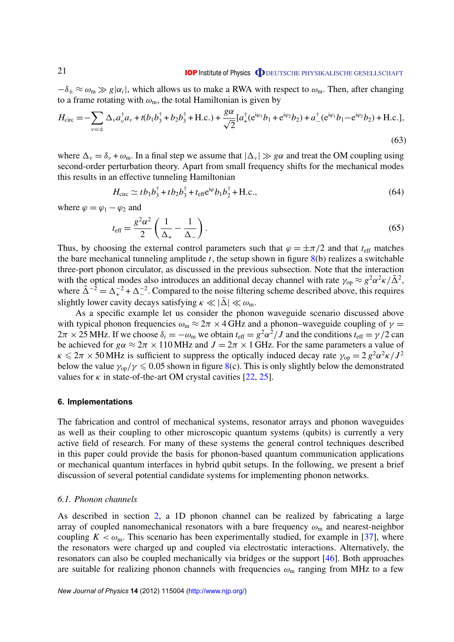<span id="page-21-0"></span> $-\delta_{\pm} \approx \omega_{\rm m} \gg g |\alpha_i|$ , which allows us to make a RWA with respect to  $\omega_{\rm m}$ . Then, after changing to a frame rotating with  $\omega_m$ , the total Hamiltonian is given by

$$
H_{\text{circ}} = -\sum_{\nu=\pm} \Delta_{\nu} a_{\nu}^{\dagger} a_{\nu} + t(b_1 b_3^{\dagger} + b_2 b_3^{\dagger} + \text{H.c.}) + \frac{g\alpha}{\sqrt{2}} [a_+^{\dagger} (e^{i\varphi_1} b_1 + e^{i\varphi_2} b_2) + a_-^{\dagger} (e^{i\varphi_1} b_1 - e^{i\varphi_2} b_2) + \text{H.c.}],
$$
\n(63)

where  $\Delta_{\nu} = \delta_{\nu} + \omega_{\rm m}$ . In a final step we assume that  $|\Delta_{\nu}| \gg g\alpha$  and treat the OM coupling using second-order perturbation theory. Apart from small frequency shifts for the mechanical modes this results in an effective tunneling Hamiltonian

$$
H_{\rm circ} \simeq t b_1 b_3^{\dagger} + t b_2 b_3^{\dagger} + t_{\rm eff} e^{i\varphi} b_1 b_2^{\dagger} + \text{H.c.},\tag{64}
$$

where  $\varphi = \varphi_1 - \varphi_2$  and

$$
t_{\rm eff} = \frac{g^2 \alpha^2}{2} \left( \frac{1}{\Delta_+} - \frac{1}{\Delta_-} \right). \tag{65}
$$

Thus, by choosing the external control parameters such that  $\varphi = \pm \pi/2$  and that  $t_{\text{eff}}$  matches the bare mechanical tunneling amplitude *t*, the setup shown in figure [8\(](#page-19-0)b) realizes a switchable three-port phonon circulator, as discussed in the previous subsection. Note that the interaction with the optical modes also introduces an additional decay channel with rate  $\gamma_{\rm op} \approx g^2 \alpha^2 \kappa / \bar{\Delta}^2$ , where  $\overline{\Delta}^{-2} = \Delta_+^{-2} + \Delta_-^{-2}$ . Compared to the noise filtering scheme described above, this requires slightly lower cavity decays satisfying  $\kappa \ll |\bar{\Delta}| \ll \omega_{\rm m}$ .

As a specific example let us consider the phonon waveguide scenario discussed above with typical phonon frequencies  $\omega_m \approx 2\pi \times 4$  GHz and a phonon–waveguide coupling of  $\gamma =$  $2\pi \times 25$  MHz. If we choose  $\delta_i = -\omega_m$  we obtain  $t_{\text{eff}} = g^2 \alpha^2 / J$  and the conditions  $t_{\text{eff}} = \gamma / 2$  can be achieved for  $g\alpha \approx 2\pi \times 110$  MHz and  $J = 2\pi \times 1$  GHz. For the same parameters a value of  $\kappa \leq 2\pi \times 50$  MHz is sufficient to suppress the optically induced decay rate  $\gamma_{op} = 2 g^2 \alpha^2 \kappa / J^2$ below the value  $\gamma_{\rm op}/\gamma \leq 0.05$  shown in figure [8\(](#page-19-0)c). This is only slightly below the demonstrated values for  $\kappa$  in state-of-the-art OM crystal cavities [\[22,](#page-30-0) [25\]](#page-30-0).

#### **6. Implementations**

The fabrication and control of mechanical systems, resonator arrays and phonon waveguides as well as their coupling to other microscopic quantum systems (qubits) is currently a very active field of research. For many of these systems the general control techniques described in this paper could provide the basis for phonon-based quantum communication applications or mechanical quantum interfaces in hybrid qubit setups. In the following, we present a brief discussion of several potential candidate systems for implementing phonon networks.

# *6.1. Phonon channels*

As described in section [2,](#page-4-0) a 1D phonon channel can be realized by fabricating a large array of coupled nanomechanical resonators with a bare frequency  $\omega_{\rm m}$  and nearest-neighbor coupling  $K < \omega_{\rm m}$ . This scenario has been experimentally studied, for example in [\[37\]](#page-31-0), where the resonators were charged up and coupled via electrostatic interactions. Alternatively, the resonators can also be coupled mechanically via bridges or the support [\[46\]](#page-31-0). Both approaches are suitable for realizing phonon channels with frequencies  $\omega_{\rm m}$  ranging from MHz to a few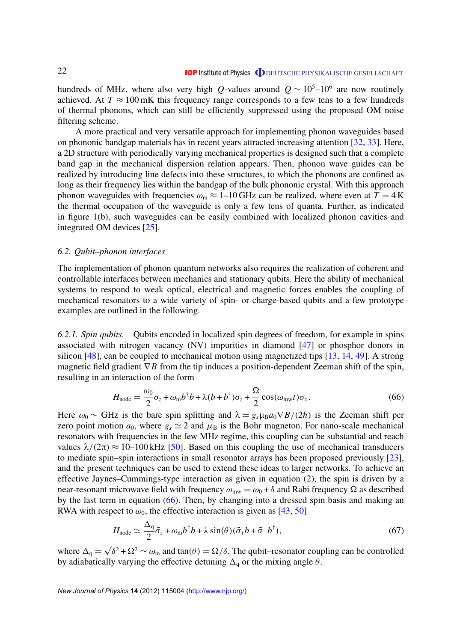<span id="page-22-0"></span>hundreds of MHz, where also very high *Q*-values around  $Q \sim 10^5$ –10<sup>6</sup> are now routinely achieved. At  $T \approx 100 \text{ mK}$  this frequency range corresponds to a few tens to a few hundreds of thermal phonons, which can still be efficiently suppressed using the proposed OM noise filtering scheme.

A more practical and very versatile approach for implementing phonon waveguides based on phononic bandgap materials has in recent years attracted increasing attention [\[32,](#page-31-0) [33\]](#page-31-0). Here, a 2D structure with periodically varying mechanical properties is designed such that a complete band gap in the mechanical dispersion relation appears. Then, phonon wave guides can be realized by introducing line defects into these structures, to which the phonons are confined as long as their frequency lies within the bandgap of the bulk phononic crystal. With this approach phonon waveguides with frequencies  $\omega_m \approx 1$ –10 GHz can be realized, where even at  $T = 4$  K the thermal occupation of the waveguide is only a few tens of quanta. Further, as indicated in figure [1\(](#page-4-0)b), such waveguides can be easily combined with localized phonon cavities and integrated OM devices [\[25\]](#page-30-0).

#### *6.2. Qubit–phonon interfaces*

The implementation of phonon quantum networks also requires the realization of coherent and controllable interfaces between mechanics and stationary qubits. Here the ability of mechanical systems to respond to weak optical, electrical and magnetic forces enables the coupling of mechanical resonators to a wide variety of spin- or charge-based qubits and a few prototype examples are outlined in the following.

*6.2.1. Spin qubits.* Qubits encoded in localized spin degrees of freedom, for example in spins associated with nitrogen vacancy (NV) impurities in diamond [\[47\]](#page-31-0) or phosphor donors in silicon  $[48]$ , can be coupled to mechanical motion using magnetized tips  $[13, 14, 49]$  $[13, 14, 49]$  $[13, 14, 49]$  $[13, 14, 49]$  $[13, 14, 49]$ . A strong magnetic field gradient  $∇B$  from the tip induces a position-dependent Zeeman shift of the spin, resulting in an interaction of the form

$$
H_{\text{node}} = \frac{\omega_0}{2} \sigma_z + \omega_m b^\dagger b + \lambda (b + b^\dagger) \sigma_z + \frac{\Omega}{2} \cos(\omega_{\text{mw}} t) \sigma_x. \tag{66}
$$

Here  $\omega_0 \sim \text{GHz}$  is the bare spin splitting and  $\lambda = g_s \mu_B a_0 \nabla B/(2\hbar)$  is the Zeeman shift per zero point motion  $a_0$ , where  $g_s \simeq 2$  and  $\mu_B$  is the Bohr magneton. For nano-scale mechanical resonators with frequencies in the few MHz regime, this coupling can be substantial and reach values  $\lambda/(2\pi) \approx 10$ –100 kHz [\[50\]](#page-31-0). Based on this coupling the use of mechanical transducers to mediate spin–spin interactions in small resonator arrays has been proposed previously [\[23\]](#page-30-0), and the present techniques can be used to extend these ideas to larger networks. To achieve an effective Jaynes–Cummings-type interaction as given in equation [\(2\)](#page-5-0), the spin is driven by a near-resonant microwave field with frequency  $\omega_{mw} = \omega_0 + \delta$  and Rabi frequency  $\Omega$  as described by the last term in equation (66). Then, by changing into a dressed spin basis and making an RWA with respect to  $\omega_0$ , the effective interaction is given as [\[43,](#page-31-0) [50\]](#page-31-0)

$$
H_{\text{node}} \simeq \frac{\Delta_q}{2} \tilde{\sigma}_z + \omega_m b^\dagger b + \lambda \sin(\theta) (\tilde{\sigma}_+ b + \tilde{\sigma}_- b^\dagger), \tag{67}
$$

where  $\Delta_q =$  $\delta^2 + \Omega^2 \sim \omega_m$  and tan $(\theta) = \Omega/\delta$ . The qubit–resonator coupling can be controlled by adiabatically varying the effective detuning  $\Delta_q$  or the mixing angle  $\theta$ .

*New Journal of Physics* **14** (2012) 115004 [\(http://www.njp.org/\)](http://www.njp.org/)

√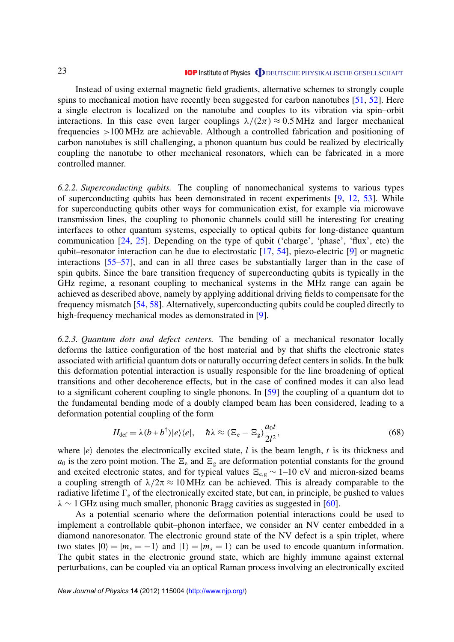Instead of using external magnetic field gradients, alternative schemes to strongly couple spins to mechanical motion have recently been suggested for carbon nanotubes [\[51,](#page-31-0) [52\]](#page-31-0). Here a single electron is localized on the nanotube and couples to its vibration via spin–orbit interactions. In this case even larger couplings  $\lambda/(2\pi) \approx 0.5 \text{ MHz}$  and larger mechanical frequencies >100 MHz are achievable. Although a controlled fabrication and positioning of carbon nanotubes is still challenging, a phonon quantum bus could be realized by electrically coupling the nanotube to other mechanical resonators, which can be fabricated in a more controlled manner.

*6.2.2. Superconducting qubits.* The coupling of nanomechanical systems to various types of superconducting qubits has been demonstrated in recent experiments [\[9,](#page-30-0) [12,](#page-30-0) [53\]](#page-31-0). While for superconducting qubits other ways for communication exist, for example via microwave transmission lines, the coupling to phononic channels could still be interesting for creating interfaces to other quantum systems, especially to optical qubits for long-distance quantum communication [\[24,](#page-30-0) [25\]](#page-30-0). Depending on the type of qubit ('charge', 'phase', 'flux', etc) the qubit–resonator interaction can be due to electrostatic [\[17,](#page-30-0) [54\]](#page-31-0), piezo-electric [\[9\]](#page-30-0) or magnetic interactions [\[55–57\]](#page-32-0), and can in all three cases be substantially larger than in the case of spin qubits. Since the bare transition frequency of superconducting qubits is typically in the GHz regime, a resonant coupling to mechanical systems in the MHz range can again be achieved as described above, namely by applying additional driving fields to compensate for the frequency mismatch [\[54,](#page-31-0) [58\]](#page-32-0). Alternatively, superconducting qubits could be coupled directly to high-frequency mechanical modes as demonstrated in [\[9\]](#page-30-0).

*6.2.3. Quantum dots and defect centers.* The bending of a mechanical resonator locally deforms the lattice configuration of the host material and by that shifts the electronic states associated with artificial quantum dots or naturally occurring defect centers in solids. In the bulk this deformation potential interaction is usually responsible for the line broadening of optical transitions and other decoherence effects, but in the case of confined modes it can also lead to a significant coherent coupling to single phonons. In [\[59\]](#page-32-0) the coupling of a quantum dot to the fundamental bending mode of a doubly clamped beam has been considered, leading to a deformation potential coupling of the form

$$
H_{\text{def}} = \lambda (b + b^{\dagger}) |e\rangle \langle e|, \quad \hbar \lambda \approx (\Xi_{\text{e}} - \Xi_{\text{g}}) \frac{a_0 t}{2l^2}, \tag{68}
$$

where  $|e\rangle$  denotes the electronically excited state, *l* is the beam length, *t* is its thickness and  $a_0$  is the zero point motion. The  $\Xi_e$  and  $\Xi_g$  are deformation potential constants for the ground and excited electronic states, and for typical values  $E_{e,g} \sim 1-10$  eV and micron-sized beams a coupling strength of  $\lambda/2\pi \approx 10$  MHz can be achieved. This is already comparable to the radiative lifetime  $\Gamma_e$  of the electronically excited state, but can, in principle, be pushed to values  $\lambda \sim 1$  GHz using much smaller, phononic Bragg cavities as suggested in [\[60\]](#page-32-0).

As a potential scenario where the deformation potential interactions could be used to implement a controllable qubit–phonon interface, we consider an NV center embedded in a diamond nanoresonator. The electronic ground state of the NV defect is a spin triplet, where two states  $|0\rangle = |m_s = -1\rangle$  and  $|1\rangle = |m_s = 1\rangle$  can be used to encode quantum information. The qubit states in the electronic ground state, which are highly immune against external perturbations, can be coupled via an optical Raman process involving an electronically excited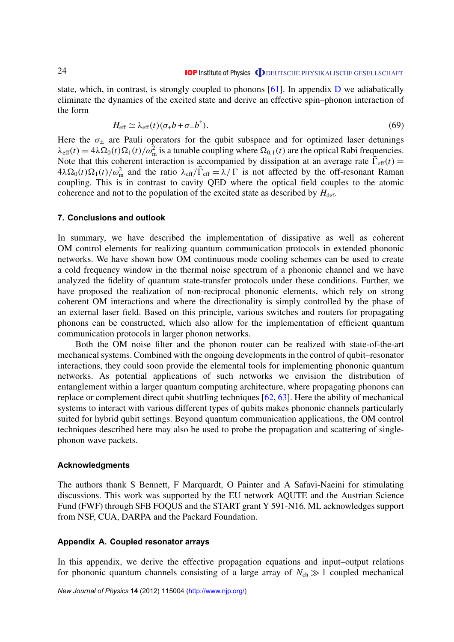<span id="page-24-0"></span>state, which, in contrast, is strongly coupled to phonons  $[61]$ . In appendix [D](#page-28-0) we adiabatically eliminate the dynamics of the excited state and derive an effective spin–phonon interaction of the form

$$
H_{\text{eff}} \simeq \lambda_{\text{eff}}(t)(\sigma_+ b + \sigma_- b^\dagger). \tag{69}
$$

Here the  $\sigma_{\pm}$  are Pauli operators for the qubit subspace and for optimized laser detunings  $\lambda_{\text{eff}}(t) = 4\lambda \Omega_0(t) \Omega_1(t) / \omega_m^2$  is a tunable coupling where  $\Omega_{0,1}(t)$  are the optical Rabi frequencies. Note that this coherent interaction is accompanied by dissipation at an average rate  $\overline{\Gamma}_{\text{eff}}(t)$  =  $4\lambda\Omega_0(t)\Omega_1(t)/\omega_{\rm m}^2$  and the ratio  $\lambda_{\rm eff}/\overline{\Gamma}_{\rm eff} = \lambda/\Gamma$  is not affected by the off-resonant Raman coupling. This is in contrast to cavity QED where the optical field couples to the atomic coherence and not to the population of the excited state as described by  $H_{\text{def}}$ .

#### **7. Conclusions and outlook**

In summary, we have described the implementation of dissipative as well as coherent OM control elements for realizing quantum communication protocols in extended phononic networks. We have shown how OM continuous mode cooling schemes can be used to create a cold frequency window in the thermal noise spectrum of a phononic channel and we have analyzed the fidelity of quantum state-transfer protocols under these conditions. Further, we have proposed the realization of non-reciprocal phononic elements, which rely on strong coherent OM interactions and where the directionality is simply controlled by the phase of an external laser field. Based on this principle, various switches and routers for propagating phonons can be constructed, which also allow for the implementation of efficient quantum communication protocols in larger phonon networks.

Both the OM noise filter and the phonon router can be realized with state-of-the-art mechanical systems. Combined with the ongoing developments in the control of qubit–resonator interactions, they could soon provide the elemental tools for implementing phononic quantum networks. As potential applications of such networks we envision the distribution of entanglement within a larger quantum computing architecture, where propagating phonons can replace or complement direct qubit shuttling techniques [\[62,](#page-32-0) [63\]](#page-32-0). Here the ability of mechanical systems to interact with various different types of qubits makes phononic channels particularly suited for hybrid qubit settings. Beyond quantum communication applications, the OM control techniques described here may also be used to probe the propagation and scattering of singlephonon wave packets.

#### **Acknowledgments**

The authors thank S Bennett, F Marquardt, O Painter and A Safavi-Naeini for stimulating discussions. This work was supported by the EU network AQUTE and the Austrian Science Fund (FWF) through SFB FOQUS and the START grant Y 591-N16. ML acknowledges support from NSF, CUA, DARPA and the Packard Foundation.

### **Appendix A. Coupled resonator arrays**

In this appendix, we derive the effective propagation equations and input–output relations for phononic quantum channels consisting of a large array of  $N_{ch} \gg 1$  coupled mechanical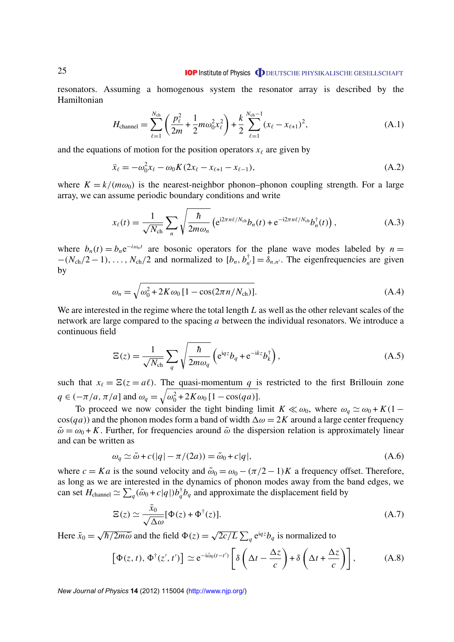resonators. Assuming a homogenous system the resonator array is described by the Hamiltonian

$$
H_{\text{channel}} = \sum_{\ell=1}^{N_{\text{ch}}} \left( \frac{p_{\ell}^2}{2m} + \frac{1}{2} m \omega_0^2 x_{\ell}^2 \right) + \frac{k}{2} \sum_{\ell=1}^{N_{\text{ch}}-1} (x_{\ell} - x_{\ell+1})^2, \tag{A.1}
$$

and the equations of motion for the position operators  $x_\ell$  are given by

$$
\ddot{x}_{\ell} = -\omega_0^2 x_{\ell} - \omega_0 K (2x_{\ell} - x_{\ell+1} - x_{\ell-1}), \tag{A.2}
$$

where  $K = k/(m\omega_0)$  is the nearest-neighbor phonon–phonon coupling strength. For a large array, we can assume periodic boundary conditions and write

$$
x_{\ell}(t) = \frac{1}{\sqrt{N_{\text{ch}}}} \sum_{n} \sqrt{\frac{\hbar}{2m\omega_{n}}} \left( e^{i2\pi n\ell/N_{\text{ch}}} b_{n}(t) + e^{-i2\pi n\ell/N_{\text{ch}}} b_{n}^{\dagger}(t) \right), \tag{A.3}
$$

where  $b_n(t) = b_n e^{-i\omega_n t}$  are bosonic operators for the plane wave modes labeled by  $n =$  $-(N_{ch}/2 - 1), \ldots, N_{ch}/2$  and normalized to  $[b_n, b_n]$  $\phi_{n'}^{\dagger}$ ] =  $\delta_{n,n'}$ . The eigenfrequencies are given by

$$
\omega_n = \sqrt{\omega_0^2 + 2K\omega_0 \left[1 - \cos(2\pi n/N_{\rm ch})\right]}.
$$
\n(A.4)

We are interested in the regime where the total length *L* as well as the other relevant scales of the network are large compared to the spacing *a* between the individual resonators. We introduce a continuous field

$$
\Xi(z) = \frac{1}{\sqrt{N_{\rm ch}}} \sum_{q} \sqrt{\frac{\hbar}{2m\omega_q}} \left( e^{iqz} b_q + e^{-ikz} b_k^{\dagger} \right), \tag{A.5}
$$

such that  $x_\ell = \Xi(z = a\ell)$ . The quasi-momentum *q* is restricted to the first Brillouin zone *q* ∈ (− $\pi/a$ ,  $\pi/a$ ] and  $\omega_q = \sqrt{\omega_0^2 + 2K\omega_0 [1 - \cos(qa)]}$ .

To proceed we now consider the tight binding limit  $K \ll \omega_0$ , where  $\omega_q \simeq \omega_0 + K(1$  $cos(qa)$ ) and the phonon modes form a band of width  $\Delta \omega = 2K$  around a large center frequency  $\bar{\omega} = \omega_0 + K$ . Further, for frequencies around  $\bar{\omega}$  the dispersion relation is approximately linear and can be written as

$$
\omega_q \simeq \bar{\omega} + c(|q| - \pi/(2a)) = \tilde{\omega}_0 + c|q|,
$$
\n(A.6)

where  $c = Ka$  is the sound velocity and  $\tilde{\omega}_0 = \omega_0 - (\pi/2 - 1)K$  a frequency offset. Therefore, as long as we are interested in the dynamics of phonon modes away from the band edges, we can set  $H_{channel} \simeq \sum_{q} (\tilde{\omega}_0 + c|q|) b_q^{\dagger} b_q$  and approximate the displacement field by

$$
\Xi(z) \simeq \frac{\bar{x}_0}{\sqrt{\Delta \omega}} [\Phi(z) + \Phi^{\dagger}(z)].
$$
\n(A.7)

Here  $\bar{x}_0 =$ √  $\sqrt{\hbar/2m\bar{\omega}}$  and the field  $\Phi(z) =$  $\sqrt{2c/L}\sum_{q} e^{iqz}b_{q}$  is normalized to

$$
\left[\Phi(z,t),\Phi^{\dagger}(z',t')\right] \simeq e^{-i\tilde{\omega}_0(t-t')} \left[\delta\left(\Delta t - \frac{\Delta z}{c}\right) + \delta\left(\Delta t + \frac{\Delta z}{c}\right)\right],\tag{A.8}
$$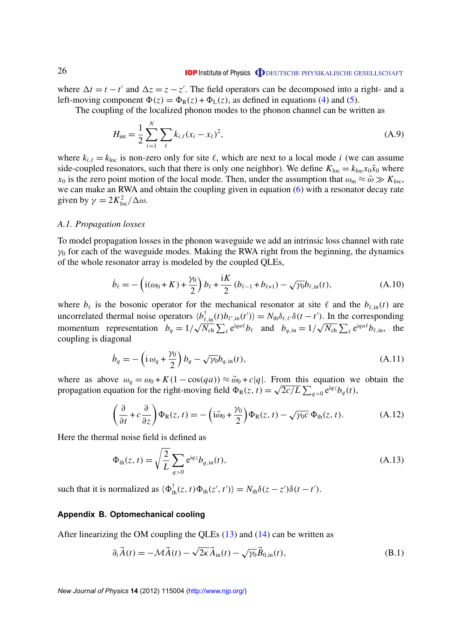<span id="page-26-0"></span>where  $\Delta t = t - t'$  and  $\Delta z = z - z'$ . The field operators can be decomposed into a right- and a left-moving component  $\Phi(z) = \Phi_R(z) + \Phi_L(z)$ , as defined in equations [\(4\)](#page-5-0) and [\(5\)](#page-6-0).

The coupling of the localized phonon modes to the phonon channel can be written as

$$
H_{\rm int} = \frac{1}{2} \sum_{i=1}^{N} \sum_{\ell} k_{i,\ell} (x_i - x_\ell)^2,
$$
 (A.9)

where  $k_{i,\ell} = k_{\text{loc}}$  is non-zero only for site  $\ell$ , which are next to a local mode *i* (we can assume side-coupled resonators, such that there is only one neighbor). We define  $K_{\text{loc}} = k_{\text{loc}} x_0 \bar{x}_0$  where  $x_0$  is the zero point motion of the local mode. Then, under the assumption that  $\omega_m \approx \bar{\omega} \gg K_{loc}$ , we can make an RWA and obtain the coupling given in equation [\(6\)](#page-6-0) with a resonator decay rate given by  $\gamma = 2K_{\text{loc}}^2/\Delta\omega$ .

#### *A.1. Propagation losses*

To model propagation losses in the phonon waveguide we add an intrinsic loss channel with rate  $\gamma_0$  for each of the waveguide modes. Making the RWA right from the beginning, the dynamics of the whole resonator array is modeled by the coupled QLEs,

$$
\dot{b}_{\ell} = -\left(\dot{1}(\omega_0 + K) + \frac{\gamma_0}{2}\right)b_{\ell} + \frac{\dot{i}K}{2}\left(b_{\ell-1} + b_{\ell+1}\right) - \sqrt{\gamma_0}b_{\ell, \text{in}}(t),\tag{A.10}
$$

where  $b_\ell$  is the bosonic operator for the mechanical resonator at site  $\ell$  and the  $b_{\ell,in}(t)$  are uncorrelated thermal noise operators  $\langle b_{\ell,in}^{\dagger}(t) b_{\ell',in}(t')\rangle = N_{th}\delta_{\ell,\ell'}\delta(t-t')$ . In the corresponding momentum representation  $b_q = 1/\sqrt{N_{ch}} \sum_{\ell} e^{iqa\ell} b_{\ell}$  and  $b_{q, in} = 1/\sqrt{N_{ch}} \sum_{\ell} e^{iqa\ell} b_{\ell, in}$ , the coupling is diagonal

$$
\dot{b}_q = -\left(\mathrm{i}\,\omega_q + \frac{\gamma_0}{2}\right)b_q - \sqrt{\gamma_0}b_{q,\mathrm{in}}(t),\tag{A.11}
$$

where as above  $\omega_q = \omega_0 + K(1 - \cos(qa)) \approx \tilde{\omega}_0 + c|q|$ . From this equation we obtain the propagation equation for the right-moving field  $\Phi_R(z, t) = \sqrt{2c/L} \sum_{q>0} e^{iqz} b_q(t)$ ,

$$
\left(\frac{\partial}{\partial t} + c\frac{\partial}{\partial z}\right)\Phi_{R}(z, t) = -\left(i\tilde{\omega}_{0} + \frac{\gamma_{0}}{2}\right)\Phi_{R}(z, t) - \sqrt{\gamma_{0}c}\,\Phi_{th}(z, t). \tag{A.12}
$$

Here the thermal noise field is defined as

$$
\Phi_{\text{th}}(z, t) = \sqrt{\frac{2}{L}} \sum_{q>0} e^{iqz} b_{q, \text{in}}(t),
$$
\n(A.13)

such that it is normalized as  $\langle \Phi_{th}^{\dagger}(z, t) \Phi_{th}(z', t') \rangle = N_{th} \delta(z - z') \delta(t - t').$ 

# **Appendix B. Optomechanical cooling**

After linearizing the OM coupling the QLEs [\(13\)](#page-8-0) and [\(14\)](#page-8-0) can be written as

$$
\partial_t \vec{A}(t) = -\mathcal{M}\vec{A}(t) - \sqrt{2\kappa} \vec{A}_{\text{in}}(t) - \sqrt{\gamma_0} \vec{B}_{0,\text{in}}(t),
$$
\n(B.1)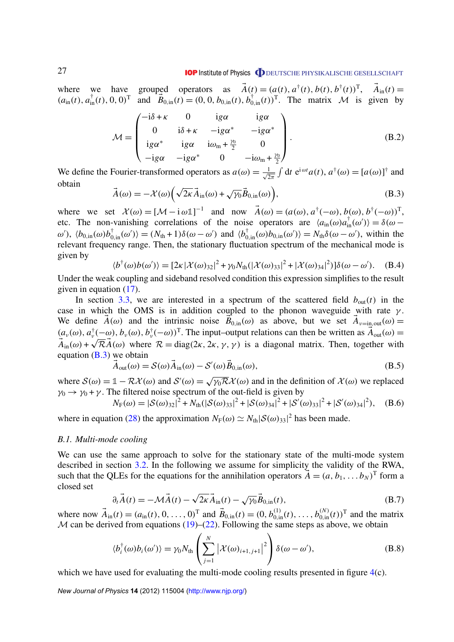<span id="page-27-0"></span>where we have grouped operators as  $\vec{A}(t) = (a(t), a^{\dagger}(t), b(t), b^{\dagger}(t))^{\text{T}}, \vec{A}_{\text{in}}(t) =$  $(a_{\text{in}}(t), a_{\text{in}}^{\dagger}(t), 0, 0)^{\text{T}}$  and  $\overrightarrow{B}_{0,\text{in}}(t) = (0, 0, b_{0,\text{in}}(t), b_{0,\text{in}}^{\dagger}(t))^{\text{T}}$ . The matrix *M* is given by

$$
\mathcal{M} = \begin{pmatrix}\n-i\delta + \kappa & 0 & ig\alpha & ig\alpha \\
0 & i\delta + \kappa & -ig\alpha^* & -ig\alpha^* \\
ig\alpha^* & ig\alpha & i\omega_m + \frac{\gamma_0}{2} & 0 \\
-ig\alpha & -ig\alpha^* & 0 & -i\omega_m + \frac{\gamma_0}{2}\n\end{pmatrix}.
$$
\n(B.2)

We define the Fourier-transformed operators as  $a(\omega) = \frac{1}{\sqrt{2}}$  $\frac{1}{2\pi} \int dt \ e^{i\omega t} a(t), a^{\dagger}(\omega) = [a(\omega)]^{\dagger}$  and obtain

$$
\vec{A}(\omega) = -\mathcal{X}(\omega) \left( \sqrt{2\kappa} \vec{A}_{\text{in}}(\omega) + \sqrt{\gamma_0} \vec{B}_{0,\text{in}}(\omega) \right),\tag{B.3}
$$

where we set  $\mathcal{X}(\omega) = [\mathcal{M} - i\omega \mathbb{1}]^{-1}$  and now  $\vec{A}(\omega) = (a(\omega), a^{\dagger}(-\omega), b(\omega), b^{\dagger}(-\omega))^T$ , etc. The non-vanishing correlations of the noise operators are  $\langle a_{\text{in}}(\omega)a_{\text{in}}^{\dagger}(\omega')\rangle = \delta(\omega$ ω'),  $\langle b_{0,in}(\omega)b_{0,in}^{\dagger}(\omega')\rangle = (N_{th} + 1)\delta(\omega - \omega')$  and  $\langle b_{0,in}^{\dagger}(\omega)b_{0,in}(\omega')\rangle = N_{th}\delta(\omega - \omega')$ , within the relevant frequency range. Then, the stationary fluctuation spectrum of the mechanical mode is given by

$$
\langle b^{\dagger}(\omega)b(\omega')\rangle = [2\kappa |\mathcal{X}(\omega)_{32}|^2 + \gamma_0 N_{\text{th}}(|\mathcal{X}(\omega)_{33}|^2 + |\mathcal{X}(\omega)_{34}|^2)]\delta(\omega - \omega'). \quad (B.4)
$$

Under the weak coupling and sideband resolved condition this expression simplifies to the result given in equation [\(17\)](#page-9-0).

In section [3.3,](#page-10-0) we are interested in a spectrum of the scattered field  $b_{out}(t)$  in the case in which the OMS is in addition coupled to the phonon waveguide with rate  $\gamma$ . We define  $\vec{A}(\omega)$  and the intrinsic noise  $\vec{B}_{0,\text{in}}(\omega)$  as above, but we set  $\vec{A}_{\nu=\text{in,out}}(\omega)$  $(a_\nu(\omega), a_\nu^\dagger(-\omega), b_\nu(\omega), b_\nu^\dagger(-\omega))^T$ . The input–output relations can then be written as  $\vec{A}_{out}(\omega)$  $\vec{A}_{\text{in}}(\omega) + \sqrt{\mathcal{R}} \vec{A}(\omega)$  where  $\mathcal{R} = \text{diag}(2\kappa, 2\kappa, \gamma, \gamma)$  is a diagonal matrix. Then, together with equation  $(B.3)$  we obtain

$$
\vec{A}_{out}(\omega) = \mathcal{S}(\omega)\vec{A}_{in}(\omega) - \mathcal{S}'(\omega)\vec{B}_{0,in}(\omega),
$$
\n(B.5)

where  $S(\omega) = 1 - \mathcal{R}X(\omega)$  and  $S'(\omega) =$  $\sqrt{\gamma_0 \mathcal{R}} \mathcal{X}(\omega)$  and in the definition of  $\mathcal{X}(\omega)$  we replaced  $\gamma_0 \rightarrow \gamma_0 + \gamma$ . The filtered noise spectrum of the out-field is given by

$$
N_{\rm F}(\omega) = |\mathcal{S}(\omega)_{32}|^2 + N_{\rm th}(|\mathcal{S}(\omega)_{33}|^2 + |\mathcal{S}(\omega)_{34}|^2 + |\mathcal{S}'(\omega)_{33}|^2 + |\mathcal{S}'(\omega)_{34}|^2), \quad \text{(B.6)}
$$

where in equation [\(28\)](#page-11-0) the approximation  $N_F(\omega) \simeq N_{th} |\mathcal{S}(\omega)_{33}|^2$  has been made.

#### *B.1. Multi-mode cooling*

We can use the same approach to solve for the stationary state of the multi-mode system described in section [3.2.](#page-9-0) In the following we assume for simplicity the validity of the RWA, such that the QLEs for the equations for the annihilation operators  $\vec{A} = (a, b_1, \dots b_N)^T$  form a closed set √

$$
\partial_t \vec{A}(t) = -\mathcal{M}\vec{A}(t) - \sqrt{2\kappa} \vec{A}_{\text{in}}(t) - \sqrt{\gamma_0} \vec{B}_{0,\text{in}}(t),
$$
 (B.7)

where now  $\vec{A}_{in}(t) = (a_{in}(t), 0, \ldots, 0)^{\text{T}}$  and  $\vec{B}_{0,in}(t) = (0, b_{0,in}^{(1)}(t), \ldots, b_{0,in}^{(N)}(t))^{\text{T}}$  and the matrix M can be derived from equations  $(19)$ – $(22)$ . Following the same steps as above, we obtain

$$
\langle b_i^{\dagger}(\omega)b_i(\omega')\rangle = \gamma_0 N_{\text{th}} \left(\sum_{j=1}^N \left| \mathcal{X}(\omega)_{i+1,j+1} \right|^2 \right) \delta(\omega - \omega'), \tag{B.8}
$$

which we have used for evaluating the multi-mode cooling results presented in figure [4\(](#page-10-0)c).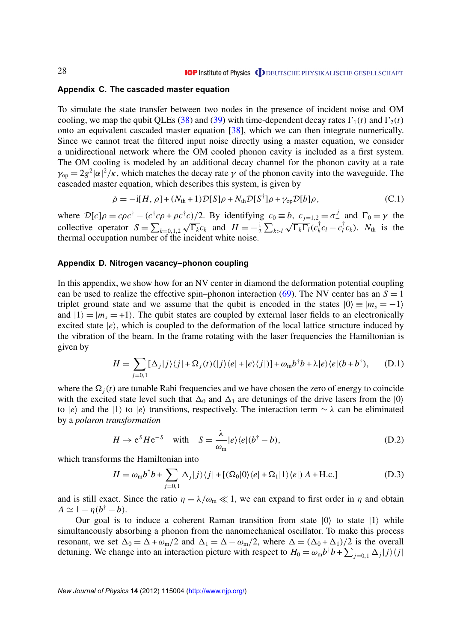#### <span id="page-28-0"></span>**Appendix C. The cascaded master equation**

To simulate the state transfer between two nodes in the presence of incident noise and OM cooling, we map the qubit QLEs [\(38\)](#page-14-0) and [\(39\)](#page-14-0) with time-dependent decay rates  $\Gamma_1(t)$  and  $\Gamma_2(t)$ onto an equivalent cascaded master equation [\[38\]](#page-31-0), which we can then integrate numerically. Since we cannot treat the filtered input noise directly using a master equation, we consider a unidirectional network where the OM cooled phonon cavity is included as a first system. The OM cooling is modeled by an additional decay channel for the phonon cavity at a rate  $\gamma_{\text{op}} = 2g^2 |\alpha|^2 / \kappa$ , which matches the decay rate  $\gamma$  of the phonon cavity into the waveguide. The cascaded master equation, which describes this system, is given by

$$
\dot{\rho} = -i[H, \rho] + (N_{\text{th}} + 1)\mathcal{D}[S]\rho + N_{\text{th}}\mathcal{D}[S^{\dagger}]\rho + \gamma_{\text{op}}\mathcal{D}[b]\rho, \tag{C.1}
$$

where  $\mathcal{D}[c]\rho = c\rho c^{\dagger} - (c^{\dagger}c\rho + \rho c^{\dagger}c)/2$ . By identifying  $c_0 \equiv b, c_{j=1,2} = \sigma^j$  and  $\Gamma_0 = \gamma$  the collective operator  $S = \sum_{k=0,1,2} \sqrt{\Gamma_k} c_k$  and  $H = -\frac{1}{2}$  $\frac{i}{2} \sum_{k>l} \sqrt{\Gamma_k \Gamma_l} (c_k^{\dagger})$  $\int_{k}^{\dagger} c_l - c_l^{\dagger}$  $N_t$ <sup>T</sup> $c_k$ ).  $N_{th}$  is the thermal occupation number of the incident white noise.

#### **Appendix D. Nitrogen vacancy–phonon coupling**

In this appendix, we show how for an NV center in diamond the deformation potential coupling can be used to realize the effective spin–phonon interaction [\(69\)](#page-24-0). The NV center has an  $S = 1$ triplet ground state and we assume that the qubit is encoded in the states  $|0\rangle \equiv |m_s = -1\rangle$ and  $|1\rangle = |m_s = +1\rangle$ . The qubit states are coupled by external laser fields to an electronically excited state  $|e\rangle$ , which is coupled to the deformation of the local lattice structure induced by the vibration of the beam. In the frame rotating with the laser frequencies the Hamiltonian is given by

$$
H = \sum_{j=0,1} \left[ \Delta_j |j\rangle\langle j| + \Omega_j(t) (|j\rangle\langle e| + |e\rangle\langle j|) \right] + \omega_m b^{\dagger} b + \lambda |e\rangle\langle e|(b+b^{\dagger}), \quad (D.1)
$$

where the  $\Omega_i(t)$  are tunable Rabi frequencies and we have chosen the zero of energy to coincide with the excited state level such that  $\Delta_0$  and  $\Delta_1$  are detunings of the drive lasers from the  $|0\rangle$ to  $|e\rangle$  and the  $|1\rangle$  to  $|e\rangle$  transitions, respectively. The interaction term  $\sim \lambda$  can be eliminated by a *polaron transformation*

$$
H \to e^{S} H e^{-S} \quad \text{with} \quad S = \frac{\lambda}{\omega_{\text{m}}} |e\rangle \langle e|(b^{\dagger} - b), \tag{D.2}
$$

which transforms the Hamiltonian into

$$
H = \omega_{\rm m} b^{\dagger} b + \sum_{j=0,1} \Delta_j |j\rangle\langle j| + [(\Omega_0|0\rangle\langle e| + \Omega_1|1\rangle\langle e|) A + \text{H.c.}] \tag{D.3}
$$

and is still exact. Since the ratio  $\eta = \lambda/\omega_m \ll 1$ , we can expand to first order in  $\eta$  and obtain  $A \simeq 1 - \eta(b^{\dagger} - b).$ 

Our goal is to induce a coherent Raman transition from state  $|0\rangle$  to state  $|1\rangle$  while simultaneously absorbing a phonon from the nanomechanical oscillator. To make this process resonant, we set  $\Delta_0 = \Delta + \omega_m/2$  and  $\Delta_1 = \Delta - \omega_m/2$ , where  $\Delta = (\Delta_0 + \Delta_1)/2$  is the overall detuning. We change into an interaction picture with respect to  $H_0 = \omega_m b^{\dagger} b + \sum_{j=0,1} \Delta_j |j\rangle\langle j|$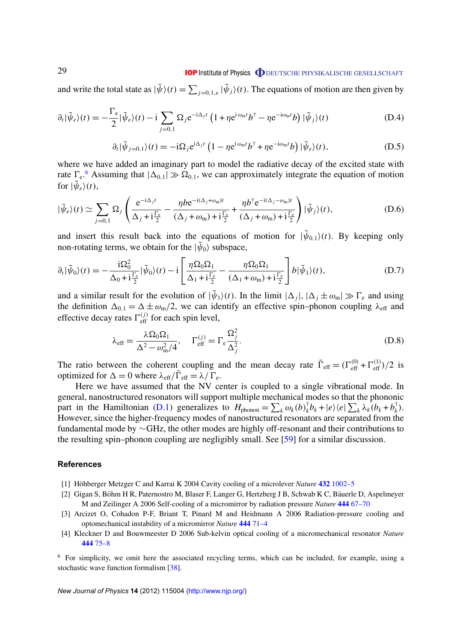# **IOP** Institute of Physics **ODEUTSCHE PHYSIKALISCHE GESELLSCHAFT**

<span id="page-29-0"></span>and write the total state as  $|\tilde{\psi}\rangle(t) = \sum_{j=0,1,e} |\tilde{\psi}_j\rangle(t)$ . The equations of motion are then given by

$$
\partial_t |\tilde{\psi}_e\rangle(t) = -\frac{\Gamma_e}{2} |\tilde{\psi}_e\rangle(t) - i \sum_{j=0,1} \Omega_j e^{-i\Delta_j t} \left(1 + \eta e^{i\omega_m t} b^{\dagger} - \eta e^{-i\omega_m t} b\right) |\tilde{\psi}_j\rangle(t)
$$
(D.4)

$$
\partial_t |\tilde{\psi}_{j=0,1}\rangle(t) = -i\Omega_j e^{i\Delta_j t} \left(1 - \eta e^{i\omega_m t} b^{\dagger} + \eta e^{-i\omega_m t} b\right) |\tilde{\psi}_e\rangle(t), \tag{D.5}
$$

where we have added an imaginary part to model the radiative decay of the excited state with rate  $\Gamma_{e}$ <sup>6</sup> Assuming that  $|\Delta_{0,1}| \gg \Omega_{0,1}$ , we can approximately integrate the equation of motion for  $|\tilde{\psi}_e\rangle(t)$ ,

$$
|\tilde{\psi}_e\rangle(t) \simeq \sum_{j=0,1} \Omega_j \left( \frac{e^{-i\Delta_j t}}{\Delta_j + i\frac{\Gamma_e}{2}} - \frac{\eta b e^{-i(\Delta_j + \omega_m)t}}{(\Delta_j + \omega_m) + i\frac{\Gamma_e}{2}} + \frac{\eta b^\dagger e^{-i(\Delta_j - \omega_m)t}}{(\Delta_j + \omega_m) + i\frac{\Gamma_e}{2}} \right) |\tilde{\psi}_j\rangle(t), \tag{D.6}
$$

and insert this result back into the equations of motion for  $|\tilde{\psi}_{0,1}(t)|$ . By keeping only non-rotating terms, we obtain for the  $|\tilde{\psi}_0\rangle$  subspace,

$$
\partial_t |\tilde{\psi}_0\rangle(t) = -\frac{\mathrm{i}\Omega_0^2}{\Delta_0 + \mathrm{i}\frac{\Gamma_e}{2}} |\tilde{\psi}_0\rangle(t) - \mathrm{i}\left[\frac{\eta \Omega_0 \Omega_1}{\Delta_1 + \mathrm{i}\frac{\Gamma_e}{2}} - \frac{\eta \Omega_0 \Omega_1}{(\Delta_1 + \omega_m) + \mathrm{i}\frac{\Gamma_e}{2}}\right] b |\tilde{\psi}_1\rangle(t),\tag{D.7}
$$

and a similar result for the evolution of  $|\tilde{\psi}_1\rangle(t)$ . In the limit  $|\Delta_j|, |\Delta_j \pm \omega_m| \gg \Gamma_e$  and using the definition  $\Delta_{0,1} = \Delta \pm \omega_m/2$ , we can identify an effective spin–phonon coupling  $\lambda_{\text{eff}}$  and effective decay rates  $\Gamma_{\text{eff}}^{(j)}$  for each spin level,

$$
\lambda_{\text{eff}} = \frac{\lambda \Omega_0 \Omega_1}{\Delta^2 - \omega_{\text{m}}^2 / 4}, \quad \Gamma_{\text{eff}}^{(j)} = \Gamma_{\text{e}} \frac{\Omega_j^2}{\Delta_j^2}.
$$
\n(D.8)

The ratio between the coherent coupling and the mean decay rate  $\bar{\Gamma}_{\text{eff}} = (\Gamma_{\text{eff}}^{(0)} + \Gamma_{\text{eff}}^{(1)})/2$  is optimized for  $\Delta = 0$  where  $\lambda_{\text{eff}}/\overline{\Gamma}_{\text{eff}} = \lambda / \Gamma_{\text{e}}$ .

Here we have assumed that the NV center is coupled to a single vibrational mode. In general, nanostructured resonators will support multiple mechanical modes so that the phononic part in the Hamiltonian [\(D.1\)](#page-28-0) generalizes to  $H_{\text{phonon}} = \sum_{k} \omega_k(b)_{k}^{\dagger}$  $\int_{k}^{\dagger} b_k + |e\rangle \langle e| \sum_{k} \lambda_k (b_k + b_k^{\dagger})$  $\binom{7}{k}$ . However, since the higher-frequency modes of nanostructured resonators are separated from the fundamental mode by ∼GHz, the other modes are highly off-resonant and their contributions to the resulting spin–phonon coupling are negligibly small. See [\[59\]](#page-32-0) for a similar discussion.

#### **References**

- [1] Höhberger Metzger C and Karrai K 2004 Cavity cooling of a microlever *Nature* 432 [1002–5](http://dx.doi.org/10.1038/nature03118)
- [2] Gigan S, Böhm H R, Paternostro M, Blaser F, Langer G, Hertzberg J B, Schwab K C, Bäuerle D, Aspelmeyer M and Zeilinger A 2006 Self-cooling of a micromirror by radiation pressure *Nature* **444** [67–70](http://dx.doi.org/10.1038/nature05273)
- [3] Arcizet O, Cohadon P-F, Briant T, Pinard M and Heidmann A 2006 Radiation-pressure cooling and optomechanical instability of a micromirror *Nature* **444** [71–4](http://dx.doi.org/10.1038/nature05244)
- [4] Kleckner D and Bouwmeester D 2006 Sub-kelvin optical cooling of a micromechanical resonator *Nature* **444** [75–8](http://dx.doi.org/10.1038/nature05231)

<sup>6</sup> For simplicity, we omit here the associated recycling terms, which can be included, for example, using a stochastic wave function formalism [\[38\]](#page-31-0).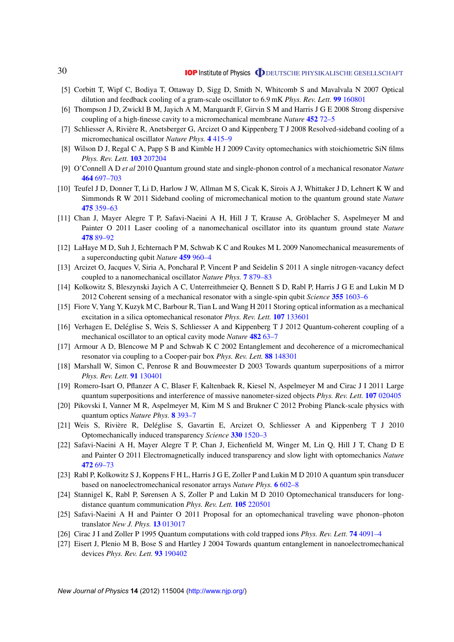- <span id="page-30-0"></span>[5] Corbitt T, Wipf C, Bodiya T, Ottaway D, Sigg D, Smith N, Whitcomb S and Mavalvala N 2007 Optical dilution and feedback cooling of a gram-scale oscillator to 6.9 mK *Phys. Rev. Lett.* **99** [160801](http://dx.doi.org/10.1103/PhysRevLett.99.160801)
- [6] Thompson J D, Zwickl B M, Jayich A M, Marquardt F, Girvin S M and Harris J G E 2008 Strong dispersive coupling of a high-finesse cavity to a micromechanical membrane *Nature* **452** [72–5](http://dx.doi.org/10.1038/nature06715)
- [7] Schliesser A, Riviere R, Anetsberger G, Arcizet O and Kippenberg T J 2008 Resolved-sideband cooling of a ` micromechanical oscillator *Nature Phys.* **4** [415–9](http://dx.doi.org/10.1038/nphys939)
- [8] Wilson D J, Regal C A, Papp S B and Kimble H J 2009 Cavity optomechanics with stoichiometric SiN films *Phys. Rev. Lett.* **103** [207204](http://dx.doi.org/10.1103/PhysRevLett.103.207204)
- [9] O'Connell A D *et al* 2010 Quantum ground state and single-phonon control of a mechanical resonator *Nature* **464** [697–703](http://dx.doi.org/10.1038/nature08967)
- [10] Teufel J D, Donner T, Li D, Harlow J W, Allman M S, Cicak K, Sirois A J, Whittaker J D, Lehnert K W and Simmonds R W 2011 Sideband cooling of micromechanical motion to the quantum ground state *Nature* **475** [359–63](http://dx.doi.org/10.1038/nature10261)
- [11] Chan J, Mayer Alegre T P, Safavi-Naeini A H, Hill J T, Krause A, Groblacher S, Aspelmeyer M and ¨ Painter O 2011 Laser cooling of a nanomechanical oscillator into its quantum ground state *Nature* **478** [89–92](http://dx.doi.org/10.1038/nature10461)
- [12] LaHaye M D, Suh J, Echternach P M, Schwab K C and Roukes M L 2009 Nanomechanical measurements of a superconducting qubit *Nature* **459** [960–4](http://dx.doi.org/10.1038/nature08093)
- [13] Arcizet O, Jacques V, Siria A, Poncharal P, Vincent P and Seidelin S 2011 A single nitrogen-vacancy defect coupled to a nanomechanical oscillator *Nature Phys.* **7** [879–83](http://dx.doi.org/10.1038/nphys2070)
- [14] Kolkowitz S, Bleszynski Jayich A C, Unterreithmeier Q, Bennett S D, Rabl P, Harris J G E and Lukin M D 2012 Coherent sensing of a mechanical resonator with a single-spin qubit *Science* **355** [1603–6](http://dx.doi.org/10.1126/science.1216821)
- [15] Fiore V, Yang Y, Kuzyk M C, Barbour R, Tian L and Wang H 2011 Storing optical information as a mechanical excitation in a silica optomechanical resonator *Phys. Rev. Lett.* **107** [133601](http://dx.doi.org/10.1103/PhysRevLett.107.133601)
- [16] Verhagen E, Deléglise S, Weis S, Schliesser A and Kippenberg T J 2012 Quantum-coherent coupling of a mechanical oscillator to an optical cavity mode *Nature* **482** [63–7](http://dx.doi.org/10.1038/nature10787)
- [17] Armour A D, Blencowe M P and Schwab K C 2002 Entanglement and decoherence of a micromechanical resonator via coupling to a Cooper-pair box *Phys. Rev. Lett.* **88** [148301](http://dx.doi.org/10.1103/PhysRevLett.88.148301)
- [18] Marshall W, Simon C, Penrose R and Bouwmeester D 2003 Towards quantum superpositions of a mirror *Phys. Rev. Lett.* **91** [130401](http://dx.doi.org/10.1103/PhysRevLett.91.130401)
- [19] Romero-Isart O, Pflanzer A C, Blaser F, Kaltenbaek R, Kiesel N, Aspelmeyer M and Cirac J I 2011 Large quantum superpositions and interference of massive nanometer-sized objects *Phys. Rev. Lett.* **107** [020405](http://dx.doi.org/10.1103/PhysRevLett.107.020405)
- [20] Pikovski I, Vanner M R, Aspelmeyer M, Kim M S and Brukner C 2012 Probing Planck-scale physics with quantum optics *Nature Phys.* **8** [393–7](http://dx.doi.org/10.1038/nphys2262)
- [21] Weis S, Rivière R, Deléglise S, Gavartin E, Arcizet O, Schliesser A and Kippenberg T J 2010 Optomechanically induced transparency *Science* **330** [1520–3](http://dx.doi.org/10.1126/science.1195596)
- [22] Safavi-Naeini A H, Mayer Alegre T P, Chan J, Eichenfield M, Winger M, Lin Q, Hill J T, Chang D E and Painter O 2011 Electromagnetically induced transparency and slow light with optomechanics *Nature* **472** [69–73](http://dx.doi.org/10.1038/nature09933)
- [23] Rabl P, Kolkowitz S J, Koppens F H L, Harris J G E, Zoller P and Lukin M D 2010 A quantum spin transducer based on nanoelectromechanical resonator arrays *Nature Phys.* **6** [602–8](http://dx.doi.org/10.1038/nphys1679)
- [24] Stannigel K, Rabl P, Sørensen A S, Zoller P and Lukin M D 2010 Optomechanical transducers for longdistance quantum communication *Phys. Rev. Lett.* **105** [220501](http://dx.doi.org/10.1103/PhysRevLett.105.220501)
- [25] Safavi-Naeini A H and Painter O 2011 Proposal for an optomechanical traveling wave phonon–photon translator *New J. Phys.* **13** [013017](http://dx.doi.org/10.1088/1367-2630/13/1/013017)
- [26] Cirac J I and Zoller P 1995 Quantum computations with cold trapped ions *Phys. Rev. Lett.* **74** [4091–4](http://dx.doi.org/10.1103/PhysRevLett.74.4091)
- [27] Eisert J, Plenio M B, Bose S and Hartley J 2004 Towards quantum entanglement in nanoelectromechanical devices *Phys. Rev. Lett.* **93** [190402](http://dx.doi.org/10.1103/PhysRevLett.93.190402)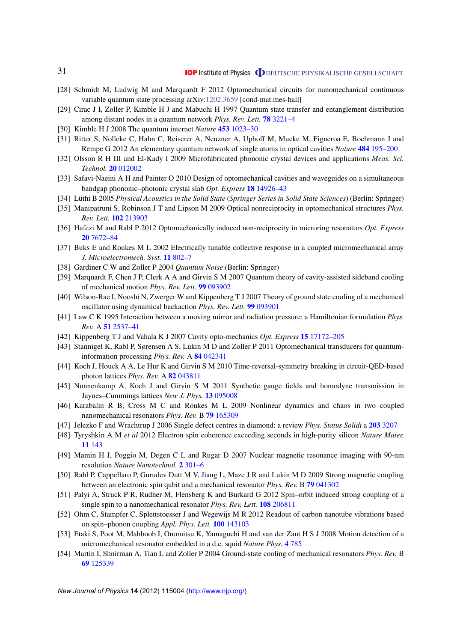- <span id="page-31-0"></span>[28] Schmidt M, Ludwig M and Marquardt F 2012 Optomechanical circuits for nanomechanical continuous variable quantum state processing arXiv[:1202.3659](http://arxiv.org/abs/1202.3659) [cond-mat.mes-hall]
- [29] Cirac J I, Zoller P, Kimble H J and Mabuchi H 1997 Quantum state transfer and entanglement distribution among distant nodes in a quantum network *Phys. Rev. Lett.* **78** [3221–4](http://dx.doi.org/10.1103/PhysRevLett.78.3221)
- [30] Kimble H J 2008 The quantum internet *Nature* **453** [1023–30](http://dx.doi.org/10.1038/nature07127)
- [31] Ritter S, Nolleke C, Hahn C, Reiserer A, Neuzner A, Uphoff M, Mucke M, Figueroa E, Bochmann J and Rempe G 2012 An elementary quantum network of single atoms in optical cavities *Nature* **484** [195–200](http://dx.doi.org/10.1038/nature11023)
- [32] Olsson R H III and El-Kady I 2009 Microfabricated phononic crystal devices and applications *Meas. Sci. Technol.* **20** [012002](http://dx.doi.org/10.1088/0957-0233/20/1/012002)
- [33] Safavi-Naeini A H and Painter O 2010 Design of optomechanical cavities and waveguides on a simultaneous bandgap phononic–photonic crystal slab *Opt. Express* **18** [14926–43](http://dx.doi.org/10.1364/OE.18.014926)
- [34] Lüthi B 2005 *Physical Acoustics in the Solid State (Springer Series in Solid State Sciences*) (Berlin: Springer)
- [35] Manipatruni S, Robinson J T and Lipson M 2009 Optical nonreciprocity in optomechanical structures *Phys. Rev. Lett.* **102** [213903](http://dx.doi.org/10.1103/PhysRevLett.102.213903)
- [36] Hafezi M and Rabl P 2012 Optomechanically induced non-reciprocity in microring resonators *Opt. Express* **20** [7672–84](http://dx.doi.org/10.1364/OE.20.007672)
- [37] Buks E and Roukes M L 2002 Electrically tunable collective response in a coupled micromechanical array *J. Microelectromech. Syst.* **11** [802–7](http://dx.doi.org/10.1109/JMEMS.2002.805056)
- [38] Gardiner C W and Zoller P 2004 *Quantum Noise* (Berlin: Springer)
- [39] Marquardt F, Chen J P, Clerk A A and Girvin S M 2007 Quantum theory of cavity-assisted sideband cooling of mechanical motion *Phys. Rev. Lett.* **99** [093902](http://dx.doi.org/10.1103/PhysRevLett.99.093902)
- [40] Wilson-Rae I, Nooshi N, Zwerger W and Kippenberg T J 2007 Theory of ground state cooling of a mechanical oscillator using dynamical backaction *Phys. Rev. Lett.* **99** [093901](http://dx.doi.org/10.1103/PhysRevLett.99.093901)
- [41] Law C K 1995 Interaction between a moving mirror and radiation pressure: a Hamiltonian formulation *Phys. Rev.* A **51** [2537–41](http://dx.doi.org/10.1103/PhysRevA.51.2537)
- [42] Kippenberg T J and Vahala K J 2007 Cavity opto-mechanics *Opt. Express* **15** [17172–205](http://dx.doi.org/10.1364/OE.15.017172)
- [43] Stannigel K, Rabl P, Sørensen A S, Lukin M D and Zoller P 2011 Optomechanical transducers for quantuminformation processing *Phys. Rev.* A **84** [042341](http://dx.doi.org/10.1103/PhysRevA.84.042341)
- [44] Koch J, Houck A A, Le Hur K and Girvin S M 2010 Time-reversal-symmetry breaking in circuit-QED-based photon lattices *Phys. Rev.* A **82** [043811](http://dx.doi.org/10.1103/PhysRevA.82.043811)
- [45] Nunnenkamp A, Koch J and Girvin S M 2011 Synthetic gauge fields and homodyne transmission in Jaynes–Cummings lattices *New J. Phys.* **13** [095008](http://dx.doi.org/10.1088/1367-2630/13/9/095008)
- [46] Karabalin R B, Cross M C and Roukes M L 2009 Nonlinear dynamics and chaos in two coupled nanomechanical resonators *Phys. Rev.* B **79** [165309](http://dx.doi.org/10.1103/PhysRevB.79.165309)
- [47] Jelezko F and Wrachtrup J 2006 Single defect centres in diamond: a review *Phys. Status Solidi* a **203** [3207](http://dx.doi.org/10.1002/pssa.200671403)
- [48] Tyryshkin A M *et al* 2012 Electron spin coherence exceeding seconds in high-purity silicon *Nature Mater.* **11** [143](http://dx.doi.org/10.1038/nmat3182)
- [49] Mamin H J, Poggio M, Degen C L and Rugar D 2007 Nuclear magnetic resonance imaging with 90-nm resolution *Nature Nanotechnol.* **2** [301–6](http://dx.doi.org/10.1038/nnano.2007.105)
- [50] Rabl P, Cappellaro P, Gurudev Dutt M V, Jiang L, Maze J R and Lukin M D 2009 Strong magnetic coupling between an electronic spin qubit and a mechanical resonator *Phys. Rev.* B **79** [041302](http://dx.doi.org/10.1103/PhysRevB.79.041302)
- [51] Palyi A, Struck P R, Rudner M, Flensberg K and Burkard G 2012 Spin–orbit induced strong coupling of a single spin to a nanomechanical resonator *Phys. Rev. Lett.* **108** [206811](http://dx.doi.org/10.1103/PhysRevLett.108.206811)
- [52] Ohm C, Stampfer C, Splettstoesser J and Wegewijs M R 2012 Readout of carbon nanotube vibrations based on spin–phonon coupling *Appl. Phys. Lett.* **100** [143103](http://dx.doi.org/10.1063/1.3698395)
- [53] Etaki S, Poot M, Mahboob I, Onomitsu K, Yamaguchi H and van der Zant H S J 2008 Motion detection of a micromechanical resonator embedded in a d.c. squid *Nature Phys.* **4** [785](http://dx.doi.org/10.1038/nphys1057)
- [54] Martin I, Shnirman A, Tian L and Zoller P 2004 Ground-state cooling of mechanical resonators *Phys. Rev.* B **69** [125339](http://dx.doi.org/10.1103/PhysRevB.69.125339)